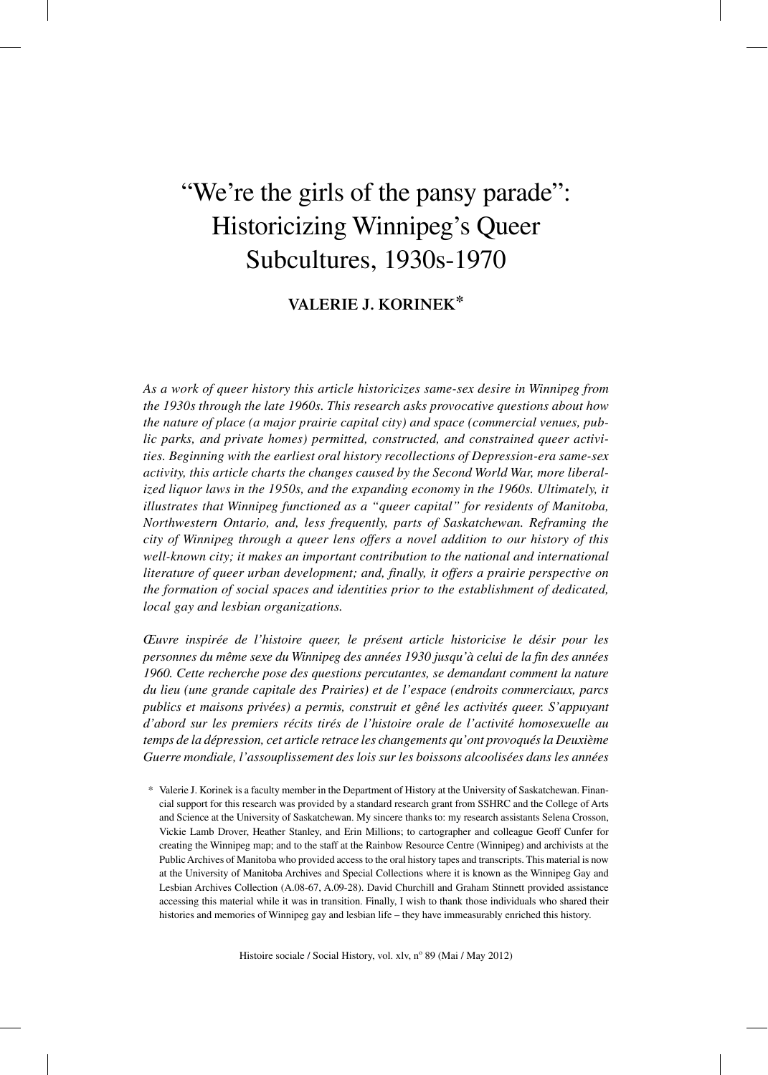# "We're the girls of the pansy parade": Historicizing Winnipeg's Queer Subcultures, 1930s-1970

### **VALERIE J. KORINEK\***

*As a work of queer history this article historicizes same-sex desire in Winnipeg from the 1930s through the late 1960s. This research asks provocative questions about how the nature of place (a major prairie capital city) and space (commercial venues, public parks, and private homes) permitted, constructed, and constrained queer activities. Beginning with the earliest oral history recollections of Depression-era same-sex activity, this article charts the changes caused by the Second World War, more liberalized liquor laws in the 1950s, and the expanding economy in the 1960s. Ultimately, it illustrates that Winnipeg functioned as a "queer capital‰ for residents of Manitoba, Northwestern Ontario, and, less frequently, parts of Saskatchewan. Reframing the city of Winnipeg through a queer lens offers a novel addition to our history of this well-known city; it makes an important contribution to the national and international literature of queer urban development; and, finally, it offers a prairie perspective on the formation of social spaces and identities prior to the establishment of dedicated, local gay and lesbian organizations.* 

*Euvre inspirée de l'histoire queer, le présent article historicise le désir pour les* personnes du même sexe du Winnipeg des années 1930 jusqu'à celui de la fin des années *1960. Cette recherche pose des questions percutantes, se demandant comment la nature du lieu (une grande capitale des Prairies) et de l'espace (endroits commerciaux, parcs publics et maisons privées) a permis, construit et gêné les activités queer. S'appuyant* d'abord sur les premiers récits tirés de l'histoire orale de l'activité homosexuelle au temps de la dépression, cet article retrace les changements qu'ont provoqués la Deuxième Guerre mondiale, l'assouplissement des lois sur les boissons alcoolisées dans les années

 \* Valerie J. Korinek is a faculty member in the Department of History at the University of Saskatchewan. Financial support for this research was provided by a standard research grant from SSHRC and the College of Arts and Science at the University of Saskatchewan. My sincere thanks to: my research assistants Selena Crosson, Vickie Lamb Drover, Heather Stanley, and Erin Millions; to cartographer and colleague Geoff Cunfer for creating the Winnipeg map; and to the staff at the Rainbow Resource Centre (Winnipeg) and archivists at the Public Archives of Manitoba who provided access to the oral history tapes and transcripts. This material is now at the University of Manitoba Archives and Special Collections where it is known as the Winnipeg Gay and Lesbian Archives Collection (A.08-67, A.09-28). David Churchill and Graham Stinnett provided assistance accessing this material while it was in transition. Finally, I wish to thank those individuals who shared their histories and memories of Winnipeg gay and lesbian life – they have immeasurably enriched this history.

Histoire sociale / Social History, vol. xlv, nº 89 (Mai / May 2012)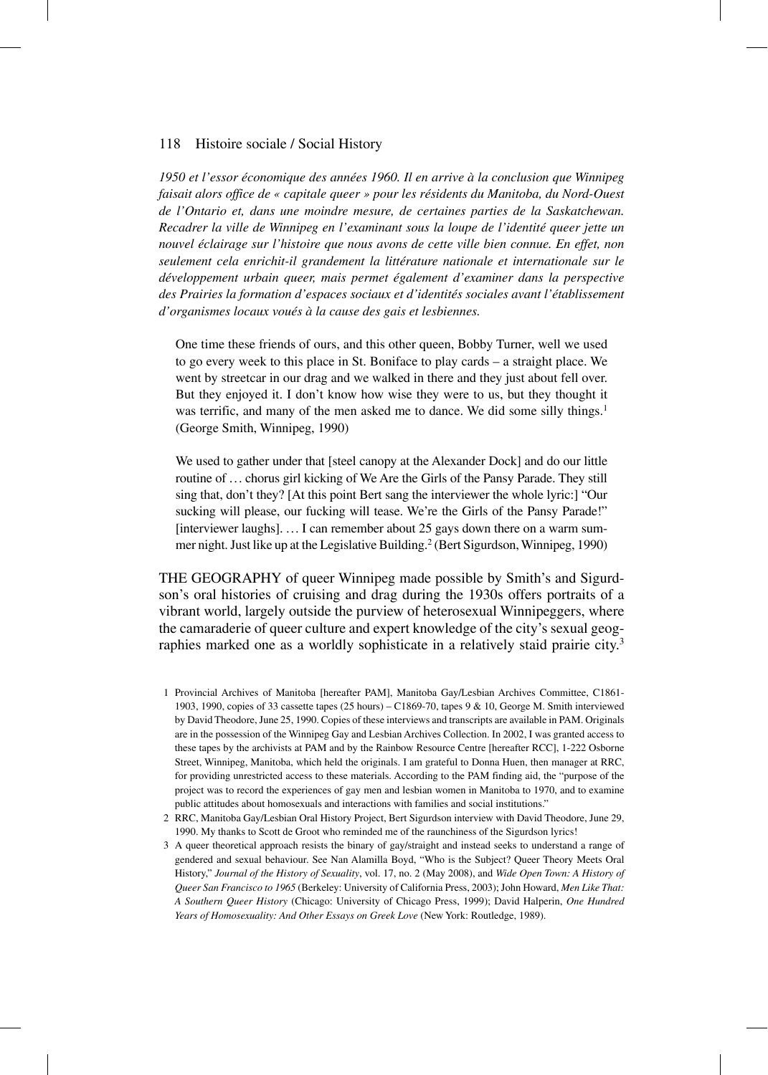*1950 et l'essor économique des années 1960. Il en arrive à la conclusion que Winnipeg faisait alors office de « capitale queer » pour les résidents du Manitoba, du Nord-Ouest de lÊOntario et, dans une moindre mesure, de certaines parties de la Saskatchewan.*  Recadrer la ville de Winnipeg en l'examinant sous la loupe de l'identité queer jette un *nouvel éclairage sur lÊhistoire que nous avons de cette ville bien connue. En effet, non seulement cela enrichit-il grandement la littérature nationale et internationale sur le*  développement urbain queer, mais permet également d'examiner dans la perspective des Prairies la formation d'espaces sociaux et d'identités sociales avant l'établissement *d'organismes locaux voués à la cause des gais et lesbiennes.* 

One time these friends of ours, and this other queen, Bobby Turner, well we used to go every week to this place in St. Boniface to play cards – a straight place. We went by streetcar in our drag and we walked in there and they just about fell over. But they enjoyed it. I don't know how wise they were to us, but they thought it was terrific, and many of the men asked me to dance. We did some silly things.<sup>1</sup> (George Smith, Winnipeg, 1990)

We used to gather under that [steel canopy at the Alexander Dock] and do our little routine of . . . chorus girl kicking of We Are the Girls of the Pansy Parade. They still sing that, don't they? [At this point Bert sang the interviewer the whole lyric:] "Our sucking will please, our fucking will tease. We're the Girls of the Pansy Parade!" [interviewer laughs]. ... I can remember about 25 gays down there on a warm summer night. Just like up at the Legislative Building.<sup>2</sup> (Bert Sigurdson, Winnipeg, 1990)

THE GEOGRAPHY of queer Winnipeg made possible by Smith's and Sigurdson's oral histories of cruising and drag during the 1930s offers portraits of a vibrant world, largely outside the purview of heterosexual Winnipeggers, where the camaraderie of queer culture and expert knowledge of the city's sexual geographies marked one as a worldly sophisticate in a relatively staid prairie city.<sup>3</sup>

- 1 Provincial Archives of Manitoba [hereafter PAM], Manitoba Gay/Lesbian Archives Committee, C1861- 1903, 1990, copies of 33 cassette tapes (25 hours) – C1869-70, tapes 9 & 10, George M. Smith interviewed by David Theodore, June 25, 1990. Copies of these interviews and transcripts are available in PAM. Originals are in the possession of the Winnipeg Gay and Lesbian Archives Collection. In 2002, I was granted access to these tapes by the archivists at PAM and by the Rainbow Resource Centre [hereafter RCC], 1-222 Osborne Street, Winnipeg, Manitoba, which held the originals. I am grateful to Donna Huen, then manager at RRC, for providing unrestricted access to these materials. According to the PAM finding aid, the "purpose of the project was to record the experiences of gay men and lesbian women in Manitoba to 1970, and to examine public attitudes about homosexuals and interactions with families and social institutions."
- 2 RRC, Manitoba Gay/Lesbian Oral History Project, Bert Sigurdson interview with David Theodore, June 29, 1990. My thanks to Scott de Groot who reminded me of the raunchiness of the Sigurdson lyrics!
- 3 A queer theoretical approach resists the binary of gay/straight and instead seeks to understand a range of gendered and sexual behaviour. See Nan Alamilla Boyd, "Who is the Subject? Queer Theory Meets Oral History," *Journal of the History of Sexuality*, vol. 17, no. 2 (May 2008), and *Wide Open Town: A History of Queer San Francisco to 1965* (Berkeley: University of California Press, 2003); John Howard, *Men Like That: A Southern Queer History* (Chicago: University of Chicago Press, 1999); David Halperin, *One Hundred Years of Homosexuality: And Other Essays on Greek Love* (New York: Routledge, 1989).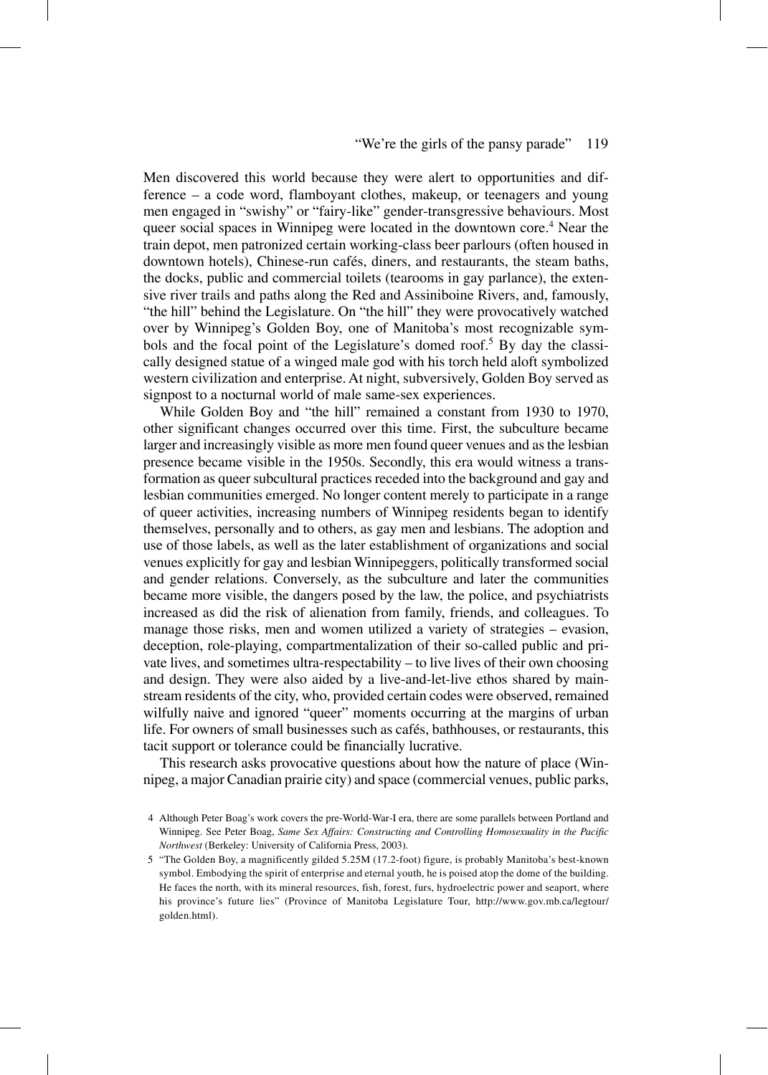Men discovered this world because they were alert to opportunities and difference – a code word, flamboyant clothes, makeup, or teenagers and young men engaged in "swishy" or "fairy-like" gender-transgressive behaviours. Most queer social spaces in Winnipeg were located in the downtown core.<sup>4</sup> Near the train depot, men patronized certain working-class beer parlours (often housed in downtown hotels), Chinese-run cafés, diners, and restaurants, the steam baths, the docks, public and commercial toilets (tearooms in gay parlance), the extensive river trails and paths along the Red and Assiniboine Rivers, and, famously, "the hill" behind the Legislature. On "the hill" they were provocatively watched over by Winnipeg's Golden Boy, one of Manitoba's most recognizable symbols and the focal point of the Legislature's domed roof.5 By day the classically designed statue of a winged male god with his torch held aloft symbolized western civilization and enterprise. At night, subversively, Golden Boy served as signpost to a nocturnal world of male same-sex experiences.

While Golden Boy and "the hill" remained a constant from 1930 to 1970, other significant changes occurred over this time. First, the subculture became larger and increasingly visible as more men found queer venues and as the lesbian presence became visible in the 1950s. Secondly, this era would witness a transformation as queer subcultural practices receded into the background and gay and lesbian communities emerged. No longer content merely to participate in a range of queer activities, increasing numbers of Winnipeg residents began to identify themselves, personally and to others, as gay men and lesbians. The adoption and use of those labels, as well as the later establishment of organizations and social venues explicitly for gay and lesbian Winnipeggers, politically transformed social and gender relations. Conversely, as the subculture and later the communities became more visible, the dangers posed by the law, the police, and psychiatrists increased as did the risk of alienation from family, friends, and colleagues. To manage those risks, men and women utilized a variety of strategies – evasion, deception, role-playing, compartmentalization of their so-called public and private lives, and sometimes ultra-respectability – to live lives of their own choosing and design. They were also aided by a live-and-let-live ethos shared by mainstream residents of the city, who, provided certain codes were observed, remained wilfully naive and ignored "queer" moments occurring at the margins of urban life. For owners of small businesses such as cafés, bathhouses, or restaurants, this tacit support or tolerance could be financially lucrative.

This research asks provocative questions about how the nature of place (Winnipeg, a major Canadian prairie city) and space (commercial venues, public parks,

 <sup>4</sup> Although Peter Boag's work covers the pre-World-War-I era, there are some parallels between Portland and Winnipeg. See Peter Boag, *Same Sex Affairs: Constructing and Controlling Homosexuality in the Pacific Northwest* (Berkeley: University of California Press, 2003).

 <sup>5 &</sup>quot;The Golden Boy, a magnificently gilded 5.25M (17.2-foot) figure, is probably Manitoba's best-known symbol. Embodying the spirit of enterprise and eternal youth, he is poised atop the dome of the building. He faces the north, with its mineral resources, fish, forest, furs, hydroelectric power and seaport, where his province's future lies" (Province of Manitoba Legislature Tour, http://www.gov.mb.ca/legtour/ golden.html).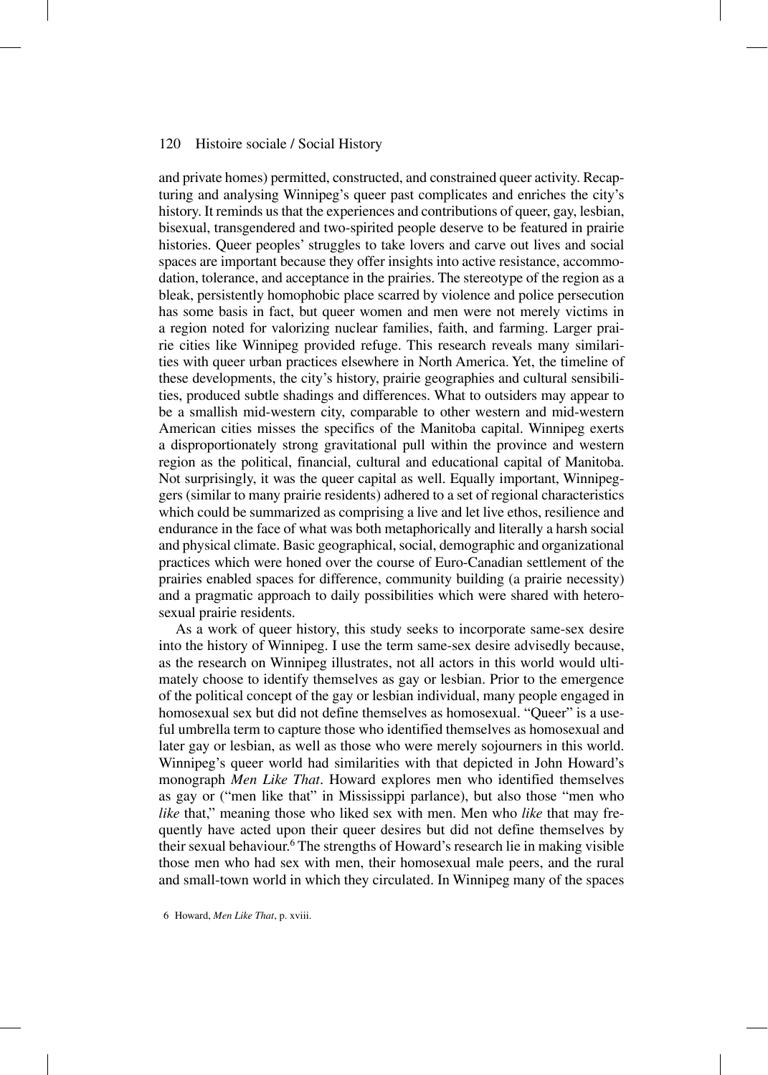and private homes) permitted, constructed, and constrained queer activity. Recapturing and analysing Winnipeg's queer past complicates and enriches the city's history. It reminds us that the experiences and contributions of queer, gay, lesbian, bisexual, transgendered and two-spirited people deserve to be featured in prairie histories. Queer peoples' struggles to take lovers and carve out lives and social spaces are important because they offer insights into active resistance, accommodation, tolerance, and acceptance in the prairies. The stereotype of the region as a bleak, persistently homophobic place scarred by violence and police persecution has some basis in fact, but queer women and men were not merely victims in a region noted for valorizing nuclear families, faith, and farming. Larger prairie cities like Winnipeg provided refuge. This research reveals many similarities with queer urban practices elsewhere in North America. Yet, the timeline of these developments, the city's history, prairie geographies and cultural sensibilities, produced subtle shadings and differences. What to outsiders may appear to be a smallish mid-western city, comparable to other western and mid-western American cities misses the specifics of the Manitoba capital. Winnipeg exerts a disproportionately strong gravitational pull within the province and western region as the political, financial, cultural and educational capital of Manitoba. Not surprisingly, it was the queer capital as well. Equally important, Winnipeggers (similar to many prairie residents) adhered to a set of regional characteristics which could be summarized as comprising a live and let live ethos, resilience and endurance in the face of what was both metaphorically and literally a harsh social and physical climate. Basic geographical, social, demographic and organizational practices which were honed over the course of Euro-Canadian settlement of the prairies enabled spaces for difference, community building (a prairie necessity) and a pragmatic approach to daily possibilities which were shared with heterosexual prairie residents.

As a work of queer history, this study seeks to incorporate same-sex desire into the history of Winnipeg. I use the term same-sex desire advisedly because, as the research on Winnipeg illustrates, not all actors in this world would ultimately choose to identify themselves as gay or lesbian. Prior to the emergence of the political concept of the gay or lesbian individual, many people engaged in homosexual sex but did not define themselves as homosexual. "Queer" is a useful umbrella term to capture those who identified themselves as homosexual and later gay or lesbian, as well as those who were merely sojourners in this world. Winnipeg's queer world had similarities with that depicted in John Howard's monograph *Men Like That*. Howard explores men who identified themselves as gay or ("men like that" in Mississippi parlance), but also those "men who *like* that," meaning those who liked sex with men. Men who *like* that may frequently have acted upon their queer desires but did not define themselves by their sexual behaviour.<sup>6</sup> The strengths of Howard's research lie in making visible those men who had sex with men, their homosexual male peers, and the rural and small-town world in which they circulated. In Winnipeg many of the spaces

6 Howard, *Men Like That*, p. xviii.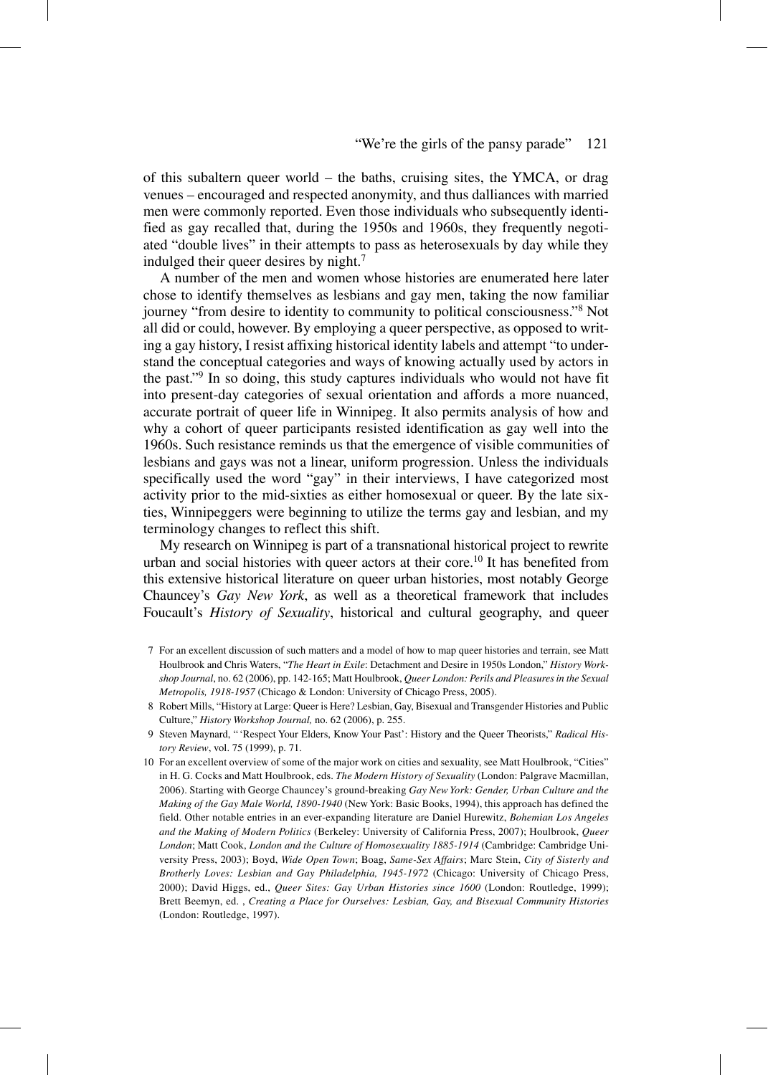of this subaltern queer world – the baths, cruising sites, the YMCA, or drag venues – encouraged and respected anonymity, and thus dalliances with married men were commonly reported. Even those individuals who subsequently identified as gay recalled that, during the 1950s and 1960s, they frequently negotiated "double lives" in their attempts to pass as heterosexuals by day while they indulged their queer desires by night.7

A number of the men and women whose histories are enumerated here later chose to identify themselves as lesbians and gay men, taking the now familiar journey "from desire to identity to community to political consciousness."8 Not all did or could, however. By employing a queer perspective, as opposed to writing a gay history, I resist affixing historical identity labels and attempt "to understand the conceptual categories and ways of knowing actually used by actors in the past."9 In so doing, this study captures individuals who would not have fit into present-day categories of sexual orientation and affords a more nuanced, accurate portrait of queer life in Winnipeg. It also permits analysis of how and why a cohort of queer participants resisted identification as gay well into the 1960s. Such resistance reminds us that the emergence of visible communities of lesbians and gays was not a linear, uniform progression. Unless the individuals specifically used the word "gay" in their interviews, I have categorized most activity prior to the mid-sixties as either homosexual or queer. By the late sixties, Winnipeggers were beginning to utilize the terms gay and lesbian, and my terminology changes to reflect this shift.

My research on Winnipeg is part of a transnational historical project to rewrite urban and social histories with queer actors at their core.10 It has benefited from this extensive historical literature on queer urban histories, most notably George Chauncey's *Gay New York*, as well as a theoretical framework that includes Foucault's *History of Sexuality*, historical and cultural geography, and queer

- 7 For an excellent discussion of such matters and a model of how to map queer histories and terrain, see Matt Houlbrook and Chris Waters, "*The Heart in Exile*: Detachment and Desire in 1950s London," *History Workshop Journal*, no. 62 (2006), pp. 142-165; Matt Houlbrook, *Queer London: Perils and Pleasures in the Sexual Metropolis, 1918-1957* (Chicago & London: University of Chicago Press, 2005).
- 8 Robert Mills, "History at Large: Queer is Here? Lesbian, Gay, Bisexual and Transgender Histories and Public Culture," *History Workshop Journal,* no. 62 (2006), p. 255.
- 9 Steven Maynard, " 'Respect Your Elders, Know Your Past': History and the Queer Theorists," *Radical History Review*, vol. 75 (1999), p. 71.
- 10 For an excellent overview of some of the major work on cities and sexuality, see Matt Houlbrook, "Cities" in H. G. Cocks and Matt Houlbrook, eds. *The Modern History of Sexuality* (London: Palgrave Macmillan, 2006). Starting with George Chauncey's ground-breaking *Gay New York: Gender, Urban Culture and the Making of the Gay Male World, 1890-1940* (New York: Basic Books, 1994), this approach has defined the field. Other notable entries in an ever-expanding literature are Daniel Hurewitz, *Bohemian Los Angeles and the Making of Modern Politics* (Berkeley: University of California Press, 2007); Houlbrook, *Queer London*; Matt Cook, *London and the Culture of Homosexuality 1885-1914* (Cambridge: Cambridge University Press, 2003); Boyd, *Wide Open Town*; Boag, *Same-Sex Affairs*; Marc Stein, *City of Sisterly and Brotherly Loves: Lesbian and Gay Philadelphia, 1945-1972* (Chicago: University of Chicago Press, 2000); David Higgs, ed., *Queer Sites: Gay Urban Histories since 1600* (London: Routledge, 1999); Brett Beemyn, ed. , *Creating a Place for Ourselves: Lesbian, Gay, and Bisexual Community Histories* (London: Routledge, 1997).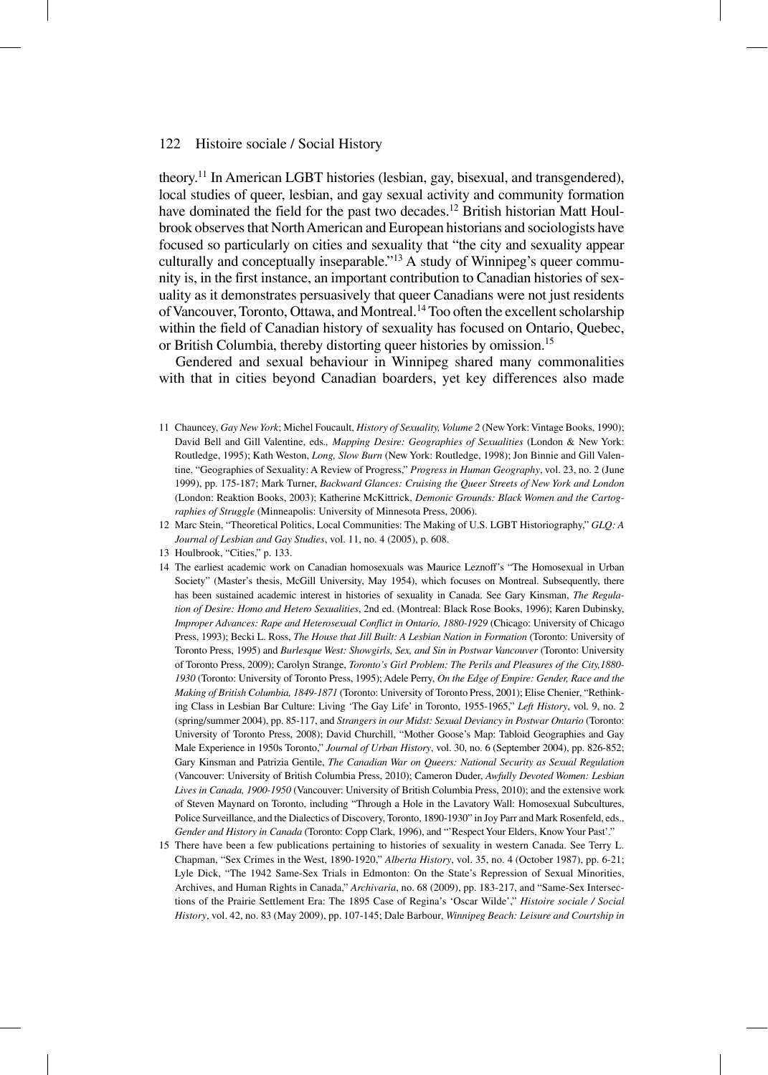theory.11 In American LGBT histories (lesbian, gay, bisexual, and transgendered), local studies of queer, lesbian, and gay sexual activity and community formation have dominated the field for the past two decades.<sup>12</sup> British historian Matt Houlbrook observes that North American and European historians and sociologists have focused so particularly on cities and sexuality that "the city and sexuality appear culturally and conceptually inseparable."13 A study of Winnipeg's queer community is, in the first instance, an important contribution to Canadian histories of sexuality as it demonstrates persuasively that queer Canadians were not just residents of Vancouver, Toronto, Ottawa, and Montreal.14 Too often the excellent scholarship within the field of Canadian history of sexuality has focused on Ontario, Quebec, or British Columbia, thereby distorting queer histories by omission.15

Gendered and sexual behaviour in Winnipeg shared many commonalities with that in cities beyond Canadian boarders, yet key differences also made

- 11 Chauncey, *Gay New York*; Michel Foucault, *History of Sexuality, Volume 2* (New York: Vintage Books, 1990); David Bell and Gill Valentine, eds*., Mapping Desire: Geographies of Sexualities* (London & New York: Routledge, 1995); Kath Weston, *Long, Slow Burn* (New York: Routledge, 1998); Jon Binnie and Gill Valentine, "Geographies of Sexuality: A Review of Progress," *Progress in Human Geography*, vol. 23, no. 2 (June 1999), pp. 175-187; Mark Turner, *Backward Glances: Cruising the Queer Streets of New York and London* (London: Reaktion Books, 2003); Katherine McKittrick, *Demonic Grounds: Black Women and the Cartographies of Struggle* (Minneapolis: University of Minnesota Press, 2006).
- 12 Marc Stein, "Theoretical Politics, Local Communities: The Making of U.S. LGBT Historiography," *GLQ: A Journal of Lesbian and Gay Studies*, vol. 11, no. 4 (2005), p. 608.
- 13 Houlbrook, "Cities," p. 133.
- 14 The earliest academic work on Canadian homosexuals was Maurice Leznoff's "The Homosexual in Urban Society" (Master's thesis, McGill University, May 1954), which focuses on Montreal. Subsequently, there has been sustained academic interest in histories of sexuality in Canada. See Gary Kinsman, *The Regulation of Desire: Homo and Hetero Sexualities*, 2nd ed. (Montreal: Black Rose Books, 1996); Karen Dubinsky, *Improper Advances: Rape and Heterosexual Conflict in Ontario, 1880-1929* (Chicago: University of Chicago Press, 1993); Becki L. Ross, *The House that Jill Built: A Lesbian Nation in Formation* (Toronto: University of Toronto Press, 1995) and *Burlesque West: Showgirls, Sex, and Sin in Postwar Vancouver* (Toronto: University of Toronto Press, 2009); Carolyn Strange, *Toronto's Girl Problem: The Perils and Pleasures of the City,1880-1930* (Toronto: University of Toronto Press, 1995); Adele Perry, *On the Edge of Empire: Gender, Race and the Making of British Columbia, 1849-1871* (Toronto: University of Toronto Press, 2001); Elise Chenier, "Rethinking Class in Lesbian Bar Culture: Living 'The Gay Life' in Toronto, 1955-1965," *Left History*, vol. 9, no. 2 (spring/summer 2004), pp. 85-117, and *Strangers in our Midst: Sexual Deviancy in Postwar Ontario* (Toronto: University of Toronto Press, 2008); David Churchill, "Mother Goose's Map: Tabloid Geographies and Gay Male Experience in 1950s Toronto," *Journal of Urban History*, vol. 30, no. 6 (September 2004), pp. 826-852; Gary Kinsman and Patrizia Gentile, *The Canadian War on Queers: National Security as Sexual Regulation* (Vancouver: University of British Columbia Press, 2010); Cameron Duder, *Awfully Devoted Women: Lesbian Lives in Canada, 1900-1950* (Vancouver: University of British Columbia Press, 2010); and the extensive work of Steven Maynard on Toronto, including "Through a Hole in the Lavatory Wall: Homosexual Subcultures, Police Surveillance, and the Dialectics of Discovery, Toronto, 1890-1930" in Joy Parr and Mark Rosenfeld, eds., *Gender and History in Canada* (Toronto: Copp Clark, 1996), and "'Respect Your Elders, Know Your Past'."
- 15 There have been a few publications pertaining to histories of sexuality in western Canada. See Terry L. Chapman, "Sex Crimes in the West, 1890-1920," *Alberta History*, vol. 35, no. 4 (October 1987), pp. 6-21; Lyle Dick, "The 1942 Same-Sex Trials in Edmonton: On the State's Repression of Sexual Minorities, Archives, and Human Rights in Canada," *Archivaria*, no. 68 (2009), pp. 183-217, and "Same-Sex Intersections of the Prairie Settlement Era: The 1895 Case of Regina's 'Oscar Wilde'," *Histoire sociale / Social History*, vol. 42, no. 83 (May 2009), pp. 107-145; Dale Barbour, *Winnipeg Beach: Leisure and Courtship in*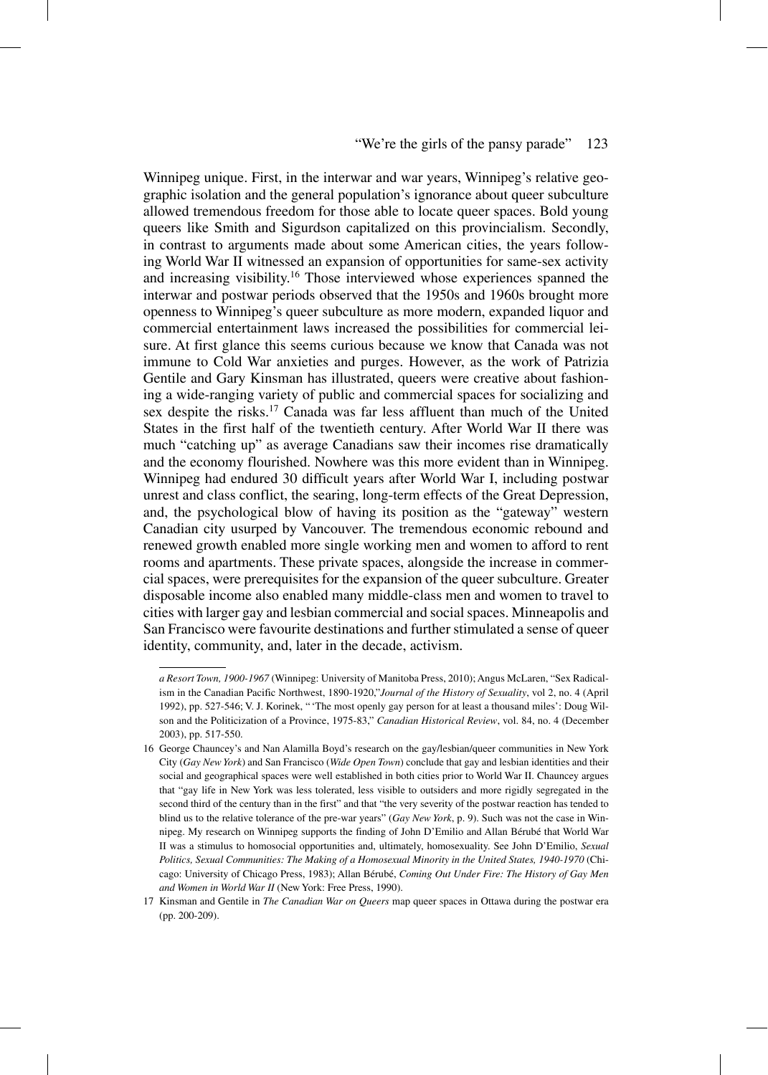Winnipeg unique. First, in the interwar and war years, Winnipeg's relative geographic isolation and the general population's ignorance about queer subculture allowed tremendous freedom for those able to locate queer spaces. Bold young queers like Smith and Sigurdson capitalized on this provincialism. Secondly, in contrast to arguments made about some American cities, the years following World War II witnessed an expansion of opportunities for same-sex activity and increasing visibility.16 Those interviewed whose experiences spanned the interwar and postwar periods observed that the 1950s and 1960s brought more openness to Winnipeg's queer subculture as more modern, expanded liquor and commercial entertainment laws increased the possibilities for commercial leisure. At first glance this seems curious because we know that Canada was not immune to Cold War anxieties and purges. However, as the work of Patrizia Gentile and Gary Kinsman has illustrated, queers were creative about fashioning a wide-ranging variety of public and commercial spaces for socializing and sex despite the risks.<sup>17</sup> Canada was far less affluent than much of the United States in the first half of the twentieth century. After World War II there was much "catching up" as average Canadians saw their incomes rise dramatically and the economy flourished. Nowhere was this more evident than in Winnipeg. Winnipeg had endured 30 difficult years after World War I, including postwar unrest and class conflict, the searing, long-term effects of the Great Depression, and, the psychological blow of having its position as the "gateway" western Canadian city usurped by Vancouver. The tremendous economic rebound and renewed growth enabled more single working men and women to afford to rent rooms and apartments. These private spaces, alongside the increase in commercial spaces, were prerequisites for the expansion of the queer subculture. Greater disposable income also enabled many middle-class men and women to travel to cities with larger gay and lesbian commercial and social spaces. Minneapolis and San Francisco were favourite destinations and further stimulated a sense of queer identity, community, and, later in the decade, activism.

*a Resort Town, 1900-1967* (Winnipeg: University of Manitoba Press, 2010); Angus McLaren, "Sex Radicalism in the Canadian Pacific Northwest, 1890-1920,"*Journal of the History of Sexuality*, vol 2, no. 4 (April 1992), pp. 527-546; V. J. Korinek, " 'The most openly gay person for at least a thousand miles': Doug Wilson and the Politicization of a Province, 1975-83," *Canadian Historical Review*, vol. 84, no. 4 (December 2003), pp. 517-550.

<sup>16</sup> George Chauncey's and Nan Alamilla Boyd's research on the gay/lesbian/queer communities in New York City (*Gay New York*) and San Francisco (*Wide Open Town*) conclude that gay and lesbian identities and their social and geographical spaces were well established in both cities prior to World War II. Chauncey argues that "gay life in New York was less tolerated, less visible to outsiders and more rigidly segregated in the second third of the century than in the first" and that "the very severity of the postwar reaction has tended to blind us to the relative tolerance of the pre-war years" (*Gay New York*, p. 9). Such was not the case in Winnipeg. My research on Winnipeg supports the finding of John D'Emilio and Allan Bérubé that World War II was a stimulus to homosocial opportunities and, ultimately, homosexuality. See John D'Emilio, *Sexual Politics, Sexual Communities: The Making of a Homosexual Minority in the United States, 1940-1970* (Chicago: University of Chicago Press, 1983); Allan Bérubé, *Coming Out Under Fire: The History of Gay Men and Women in World War II* (New York: Free Press, 1990).

<sup>17</sup> Kinsman and Gentile in *The Canadian War on Queers* map queer spaces in Ottawa during the postwar era (pp. 200-209).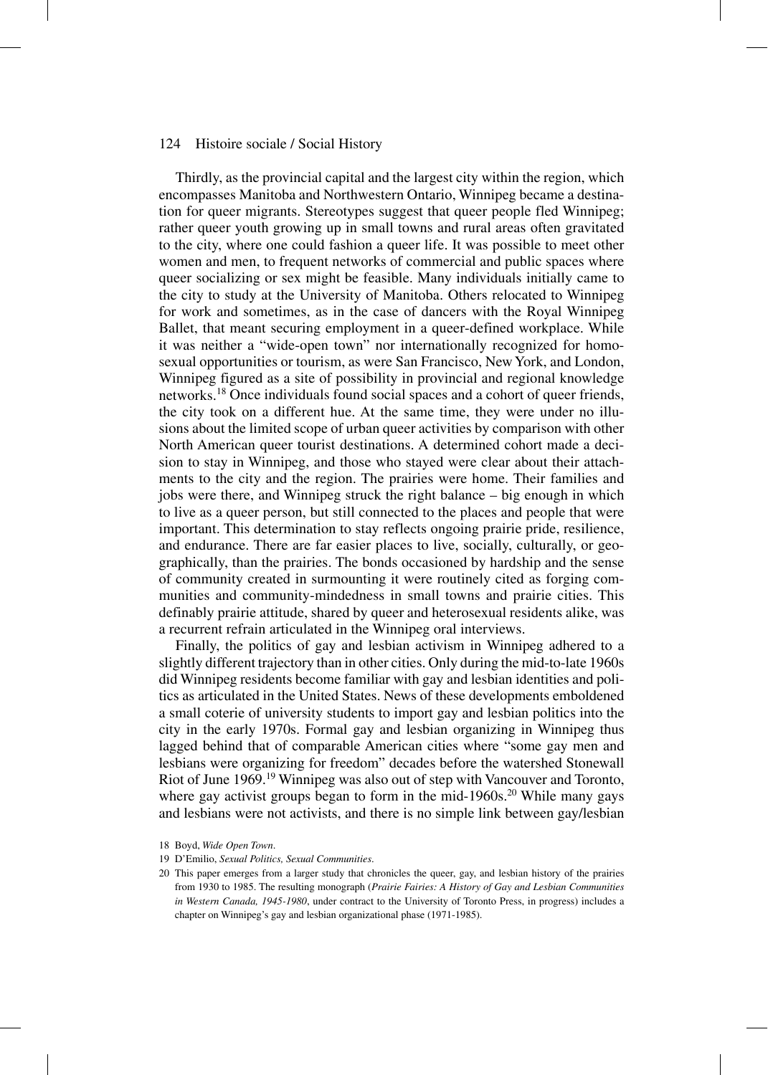Thirdly, as the provincial capital and the largest city within the region, which encompasses Manitoba and Northwestern Ontario, Winnipeg became a destination for queer migrants. Stereotypes suggest that queer people fled Winnipeg; rather queer youth growing up in small towns and rural areas often gravitated to the city, where one could fashion a queer life. It was possible to meet other women and men, to frequent networks of commercial and public spaces where queer socializing or sex might be feasible. Many individuals initially came to the city to study at the University of Manitoba. Others relocated to Winnipeg for work and sometimes, as in the case of dancers with the Royal Winnipeg Ballet, that meant securing employment in a queer-defined workplace. While it was neither a "wide-open town" nor internationally recognized for homosexual opportunities or tourism, as were San Francisco, New York, and London, Winnipeg figured as a site of possibility in provincial and regional knowledge networks.18 Once individuals found social spaces and a cohort of queer friends, the city took on a different hue. At the same time, they were under no illusions about the limited scope of urban queer activities by comparison with other North American queer tourist destinations. A determined cohort made a decision to stay in Winnipeg, and those who stayed were clear about their attachments to the city and the region. The prairies were home. Their families and jobs were there, and Winnipeg struck the right balance – big enough in which to live as a queer person, but still connected to the places and people that were important. This determination to stay reflects ongoing prairie pride, resilience, and endurance. There are far easier places to live, socially, culturally, or geographically, than the prairies. The bonds occasioned by hardship and the sense of community created in surmounting it were routinely cited as forging communities and community-mindedness in small towns and prairie cities. This definably prairie attitude, shared by queer and heterosexual residents alike, was a recurrent refrain articulated in the Winnipeg oral interviews.

Finally, the politics of gay and lesbian activism in Winnipeg adhered to a slightly different trajectory than in other cities. Only during the mid-to-late 1960s did Winnipeg residents become familiar with gay and lesbian identities and politics as articulated in the United States. News of these developments emboldened a small coterie of university students to import gay and lesbian politics into the city in the early 1970s. Formal gay and lesbian organizing in Winnipeg thus lagged behind that of comparable American cities where "some gay men and lesbians were organizing for freedom" decades before the watershed Stonewall Riot of June 1969.19 Winnipeg was also out of step with Vancouver and Toronto, where gay activist groups began to form in the mid-1960s.<sup>20</sup> While many gays and lesbians were not activists, and there is no simple link between gay/lesbian

<sup>18</sup> Boyd, *Wide Open Town*.

<sup>19</sup> D'Emilio, *Sexual Politics, Sexual Communities*.

<sup>20</sup> This paper emerges from a larger study that chronicles the queer, gay, and lesbian history of the prairies from 1930 to 1985. The resulting monograph (*Prairie Fairies: A History of Gay and Lesbian Communities in Western Canada, 1945-1980*, under contract to the University of Toronto Press, in progress) includes a chapter on Winnipeg's gay and lesbian organizational phase (1971-1985).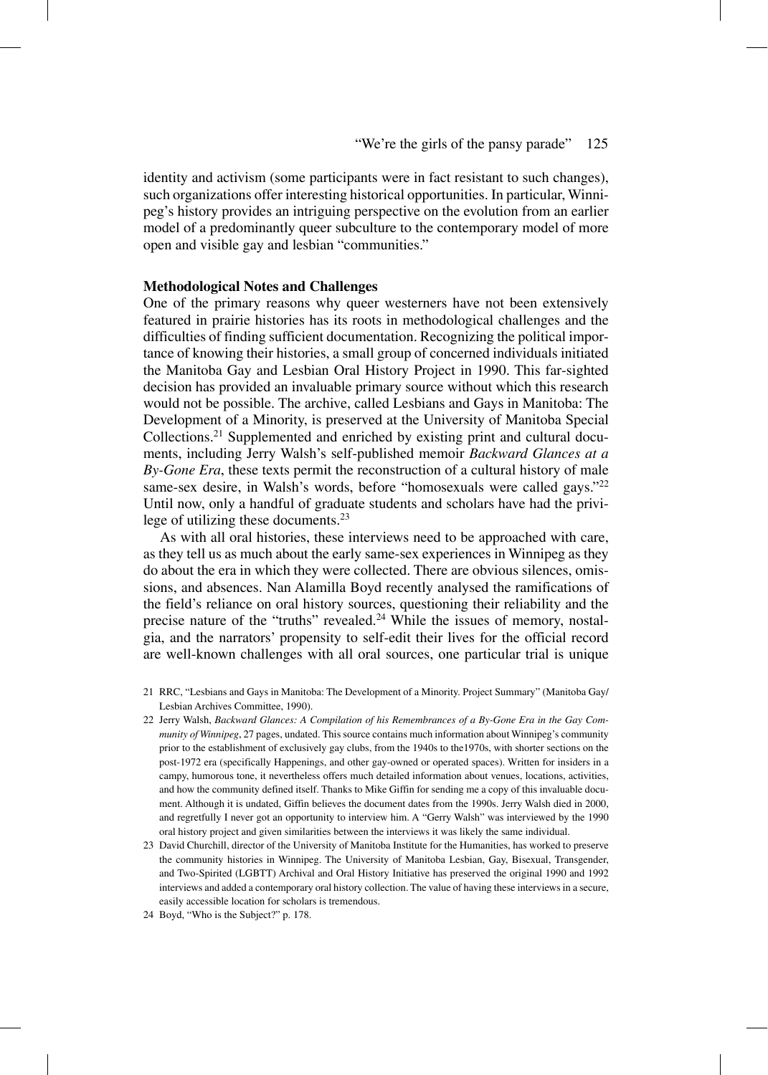identity and activism (some participants were in fact resistant to such changes), such organizations offer interesting historical opportunities. In particular, Winnipeg's history provides an intriguing perspective on the evolution from an earlier model of a predominantly queer subculture to the contemporary model of more open and visible gay and lesbian "communities."

#### **Methodological Notes and Challenges**

One of the primary reasons why queer westerners have not been extensively featured in prairie histories has its roots in methodological challenges and the difficulties of finding sufficient documentation. Recognizing the political importance of knowing their histories, a small group of concerned individuals initiated the Manitoba Gay and Lesbian Oral History Project in 1990. This far-sighted decision has provided an invaluable primary source without which this research would not be possible. The archive, called Lesbians and Gays in Manitoba: The Development of a Minority, is preserved at the University of Manitoba Special Collections.21 Supplemented and enriched by existing print and cultural documents, including Jerry Walsh's self-published memoir *Backward Glances at a By-Gone Era*, these texts permit the reconstruction of a cultural history of male same-sex desire, in Walsh's words, before "homosexuals were called gays."22 Until now, only a handful of graduate students and scholars have had the privilege of utilizing these documents.<sup>23</sup>

As with all oral histories, these interviews need to be approached with care, as they tell us as much about the early same-sex experiences in Winnipeg as they do about the era in which they were collected. There are obvious silences, omissions, and absences. Nan Alamilla Boyd recently analysed the ramifications of the field's reliance on oral history sources, questioning their reliability and the precise nature of the "truths" revealed.<sup>24</sup> While the issues of memory, nostalgia, and the narrators' propensity to self-edit their lives for the official record are well-known challenges with all oral sources, one particular trial is unique

- 21 RRC, "Lesbians and Gays in Manitoba: The Development of a Minority. Project Summary" (Manitoba Gay/ Lesbian Archives Committee, 1990).
- 22 Jerry Walsh, *Backward Glances: A Compilation of his Remembrances of a By-Gone Era in the Gay Community of Winnipeg*, 27 pages, undated. This source contains much information about Winnipeg's community prior to the establishment of exclusively gay clubs, from the 1940s to the1970s, with shorter sections on the post-1972 era (specifically Happenings, and other gay-owned or operated spaces). Written for insiders in a campy, humorous tone, it nevertheless offers much detailed information about venues, locations, activities, and how the community defined itself. Thanks to Mike Giffin for sending me a copy of this invaluable document. Although it is undated, Giffin believes the document dates from the 1990s. Jerry Walsh died in 2000, and regretfully I never got an opportunity to interview him. A "Gerry Walsh" was interviewed by the 1990 oral history project and given similarities between the interviews it was likely the same individual.
- 23 David Churchill, director of the University of Manitoba Institute for the Humanities, has worked to preserve the community histories in Winnipeg. The University of Manitoba Lesbian, Gay, Bisexual, Transgender, and Two-Spirited (LGBTT) Archival and Oral History Initiative has preserved the original 1990 and 1992 interviews and added a contemporary oral history collection. The value of having these interviews in a secure, easily accessible location for scholars is tremendous.

<sup>24</sup> Boyd, "Who is the Subject?" p. 178.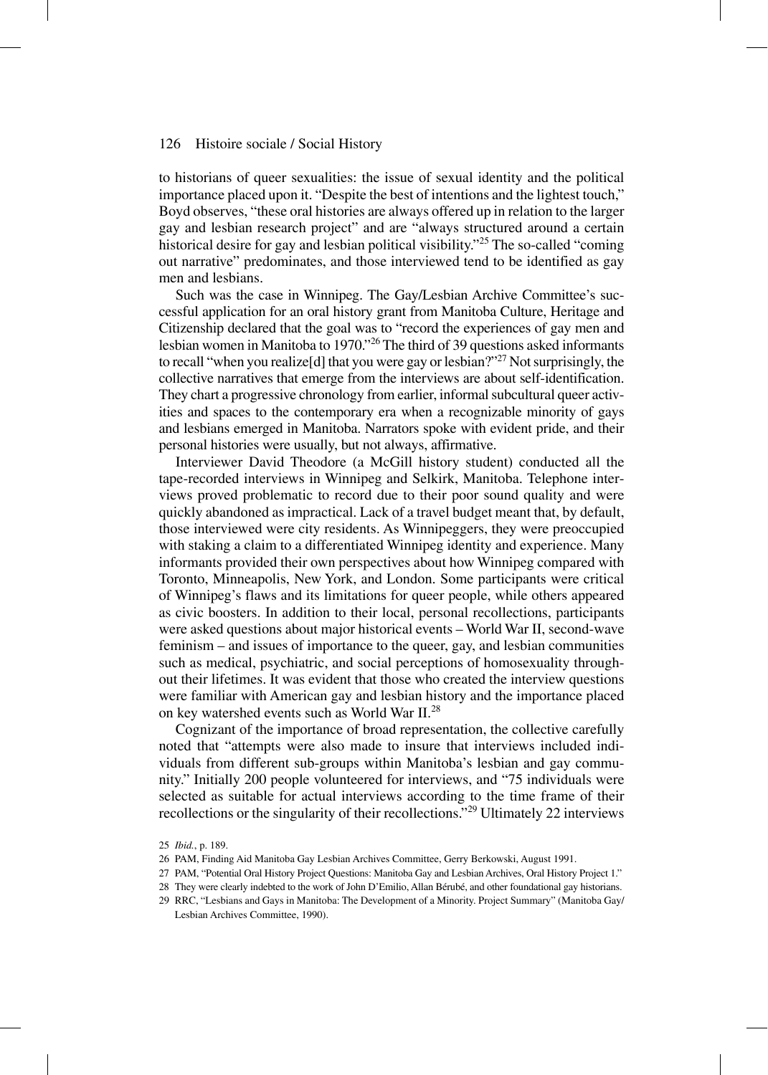to historians of queer sexualities: the issue of sexual identity and the political importance placed upon it. "Despite the best of intentions and the lightest touch," Boyd observes, "these oral histories are always offered up in relation to the larger gay and lesbian research project" and are "always structured around a certain historical desire for gay and lesbian political visibility."<sup>25</sup> The so-called "coming" out narrative" predominates, and those interviewed tend to be identified as gay men and lesbians.

Such was the case in Winnipeg. The Gay/Lesbian Archive Committee's successful application for an oral history grant from Manitoba Culture, Heritage and Citizenship declared that the goal was to "record the experiences of gay men and lesbian women in Manitoba to 1970."26 The third of 39 questions asked informants to recall "when you realize[d] that you were gay or lesbian?"<sup>27</sup> Not surprisingly, the collective narratives that emerge from the interviews are about self-identification. They chart a progressive chronology from earlier, informal subcultural queer activities and spaces to the contemporary era when a recognizable minority of gays and lesbians emerged in Manitoba. Narrators spoke with evident pride, and their personal histories were usually, but not always, affirmative.

Interviewer David Theodore (a McGill history student) conducted all the tape-recorded interviews in Winnipeg and Selkirk, Manitoba. Telephone interviews proved problematic to record due to their poor sound quality and were quickly abandoned as impractical. Lack of a travel budget meant that, by default, those interviewed were city residents. As Winnipeggers, they were preoccupied with staking a claim to a differentiated Winnipeg identity and experience. Many informants provided their own perspectives about how Winnipeg compared with Toronto, Minneapolis, New York, and London. Some participants were critical of Winnipeg's flaws and its limitations for queer people, while others appeared as civic boosters. In addition to their local, personal recollections, participants were asked questions about major historical events – World War II, second-wave feminism – and issues of importance to the queer, gay, and lesbian communities such as medical, psychiatric, and social perceptions of homosexuality throughout their lifetimes. It was evident that those who created the interview questions were familiar with American gay and lesbian history and the importance placed on key watershed events such as World War II.28

Cognizant of the importance of broad representation, the collective carefully noted that "attempts were also made to insure that interviews included individuals from different sub-groups within Manitoba's lesbian and gay community." Initially 200 people volunteered for interviews, and "75 individuals were selected as suitable for actual interviews according to the time frame of their recollections or the singularity of their recollections."29 Ultimately 22 interviews

<sup>25</sup> *Ibid.*, p. 189.

<sup>26</sup> PAM, Finding Aid Manitoba Gay Lesbian Archives Committee, Gerry Berkowski, August 1991.

<sup>27</sup> PAM, "Potential Oral History Project Questions: Manitoba Gay and Lesbian Archives, Oral History Project 1."

<sup>28</sup> They were clearly indebted to the work of John D'Emilio, Allan Bérubé, and other foundational gay historians.

<sup>29</sup> RRC, "Lesbians and Gays in Manitoba: The Development of a Minority. Project Summary" (Manitoba Gay/ Lesbian Archives Committee, 1990).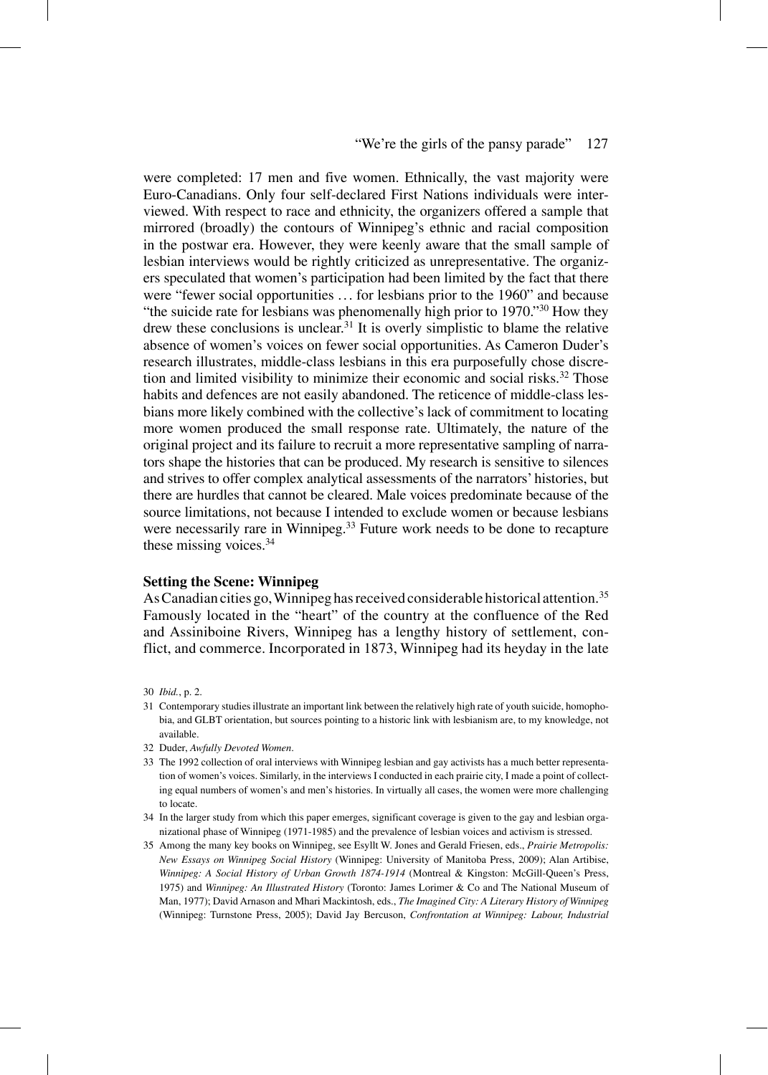were completed: 17 men and five women. Ethnically, the vast majority were Euro-Canadians. Only four self-declared First Nations individuals were interviewed. With respect to race and ethnicity, the organizers offered a sample that mirrored (broadly) the contours of Winnipeg's ethnic and racial composition in the postwar era. However, they were keenly aware that the small sample of lesbian interviews would be rightly criticized as unrepresentative. The organizers speculated that women's participation had been limited by the fact that there were "fewer social opportunities ... for lesbians prior to the 1960" and because "the suicide rate for lesbians was phenomenally high prior to 1970."30 How they drew these conclusions is unclear.<sup>31</sup> It is overly simplistic to blame the relative absence of women's voices on fewer social opportunities. As Cameron Duder's research illustrates, middle-class lesbians in this era purposefully chose discretion and limited visibility to minimize their economic and social risks.<sup>32</sup> Those habits and defences are not easily abandoned. The reticence of middle-class lesbians more likely combined with the collective's lack of commitment to locating more women produced the small response rate. Ultimately, the nature of the original project and its failure to recruit a more representative sampling of narrators shape the histories that can be produced. My research is sensitive to silences and strives to offer complex analytical assessments of the narrators' histories, but there are hurdles that cannot be cleared. Male voices predominate because of the source limitations, not because I intended to exclude women or because lesbians were necessarily rare in Winnipeg.<sup>33</sup> Future work needs to be done to recapture these missing voices.<sup>34</sup>

#### **Setting the Scene: Winnipeg**

As Canadian cities go, Winnipeg has received considerable historical attention.<sup>35</sup> Famously located in the "heart" of the country at the confluence of the Red and Assiniboine Rivers, Winnipeg has a lengthy history of settlement, conflict, and commerce. Incorporated in 1873, Winnipeg had its heyday in the late

30 *Ibid.*, p. 2.

- 32 Duder, *Awfully Devoted Women*.
- 33 The 1992 collection of oral interviews with Winnipeg lesbian and gay activists has a much better representation of women's voices. Similarly, in the interviews I conducted in each prairie city, I made a point of collecting equal numbers of women's and men's histories. In virtually all cases, the women were more challenging to locate.
- 34 In the larger study from which this paper emerges, significant coverage is given to the gay and lesbian organizational phase of Winnipeg (1971-1985) and the prevalence of lesbian voices and activism is stressed.
- 35 Among the many key books on Winnipeg, see Esyllt W. Jones and Gerald Friesen, eds., *Prairie Metropolis: New Essays on Winnipeg Social History* (Winnipeg: University of Manitoba Press, 2009); Alan Artibise, *Winnipeg: A Social History of Urban Growth 1874-1914* (Montreal & Kingston: McGill-Queen's Press, 1975) and *Winnipeg: An Illustrated History* (Toronto: James Lorimer & Co and The National Museum of Man, 1977); David Arnason and Mhari Mackintosh, eds., *The Imagined City: A Literary History of Winnipeg* (Winnipeg: Turnstone Press, 2005); David Jay Bercuson, *Confrontation at Winnipeg: Labour, Industrial*

<sup>31</sup> Contemporary studies illustrate an important link between the relatively high rate of youth suicide, homophobia, and GLBT orientation, but sources pointing to a historic link with lesbianism are, to my knowledge, not available.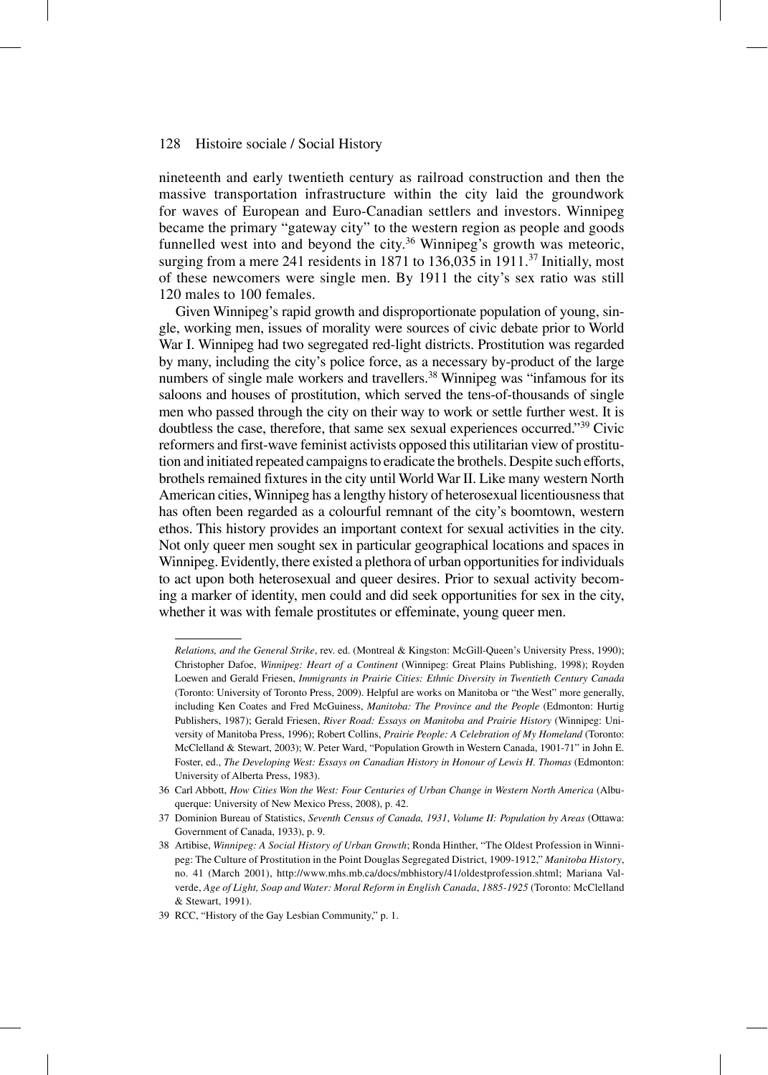nineteenth and early twentieth century as railroad construction and then the massive transportation infrastructure within the city laid the groundwork for waves of European and Euro-Canadian settlers and investors. Winnipeg became the primary "gateway city" to the western region as people and goods funnelled west into and beyond the city.<sup>36</sup> Winnipeg's growth was meteoric, surging from a mere 241 residents in 1871 to 136,035 in 1911.<sup>37</sup> Initially, most of these newcomers were single men. By 1911 the city's sex ratio was still 120 males to 100 females.

Given Winnipeg's rapid growth and disproportionate population of young, single, working men, issues of morality were sources of civic debate prior to World War I. Winnipeg had two segregated red-light districts. Prostitution was regarded by many, including the city's police force, as a necessary by-product of the large numbers of single male workers and travellers.<sup>38</sup> Winnipeg was "infamous for its saloons and houses of prostitution, which served the tens-of-thousands of single men who passed through the city on their way to work or settle further west. It is doubtless the case, therefore, that same sex sexual experiences occurred."39 Civic reformers and first-wave feminist activists opposed this utilitarian view of prostitution and initiated repeated campaigns to eradicate the brothels. Despite such efforts, brothels remained fixtures in the city until World War II. Like many western North American cities, Winnipeg has a lengthy history of heterosexual licentiousness that has often been regarded as a colourful remnant of the city's boomtown, western ethos. This history provides an important context for sexual activities in the city. Not only queer men sought sex in particular geographical locations and spaces in Winnipeg. Evidently, there existed a plethora of urban opportunities for individuals to act upon both heterosexual and queer desires. Prior to sexual activity becoming a marker of identity, men could and did seek opportunities for sex in the city, whether it was with female prostitutes or effeminate, young queer men.

*Relations, and the General Strike*, rev. ed. (Montreal & Kingston: McGill-Queen's University Press, 1990); Christopher Dafoe, *Winnipeg: Heart of a Continent* (Winnipeg: Great Plains Publishing, 1998); Royden Loewen and Gerald Friesen, *Immigrants in Prairie Cities: Ethnic Diversity in Twentieth Century Canada* (Toronto: University of Toronto Press, 2009). Helpful are works on Manitoba or "the West" more generally, including Ken Coates and Fred McGuiness, *Manitoba: The Province and the People* (Edmonton: Hurtig Publishers, 1987); Gerald Friesen, *River Road: Essays on Manitoba and Prairie History* (Winnipeg: University of Manitoba Press, 1996); Robert Collins, *Prairie People: A Celebration of My Homeland* (Toronto: McClelland & Stewart, 2003); W. Peter Ward, "Population Growth in Western Canada, 1901-71" in John E. Foster, ed., *The Developing West: Essays on Canadian History in Honour of Lewis H. Thomas* (Edmonton: University of Alberta Press, 1983).

<sup>36</sup> Carl Abbott, *How Cities Won the West: Four Centuries of Urban Change in Western North America* (Albuquerque: University of New Mexico Press, 2008), p. 42.

<sup>37</sup> Dominion Bureau of Statistics, *Seventh Census of Canada, 1931*, *Volume II: Population by Areas* (Ottawa: Government of Canada, 1933), p. 9.

<sup>38</sup> Artibise, *Winnipeg: A Social History of Urban Growth*; Ronda Hinther, "The Oldest Profession in Winnipeg: The Culture of Prostitution in the Point Douglas Segregated District, 1909-1912," *Manitoba History*, no. 41 (March 2001), http://www.mhs.mb.ca/docs/mbhistory/41/oldestprofession.shtml; Mariana Valverde, *Age of Light, Soap and Water: Moral Reform in English Canada*, *1885-1925* (Toronto: McClelland & Stewart, 1991).

<sup>39</sup> RCC, "History of the Gay Lesbian Community," p. 1.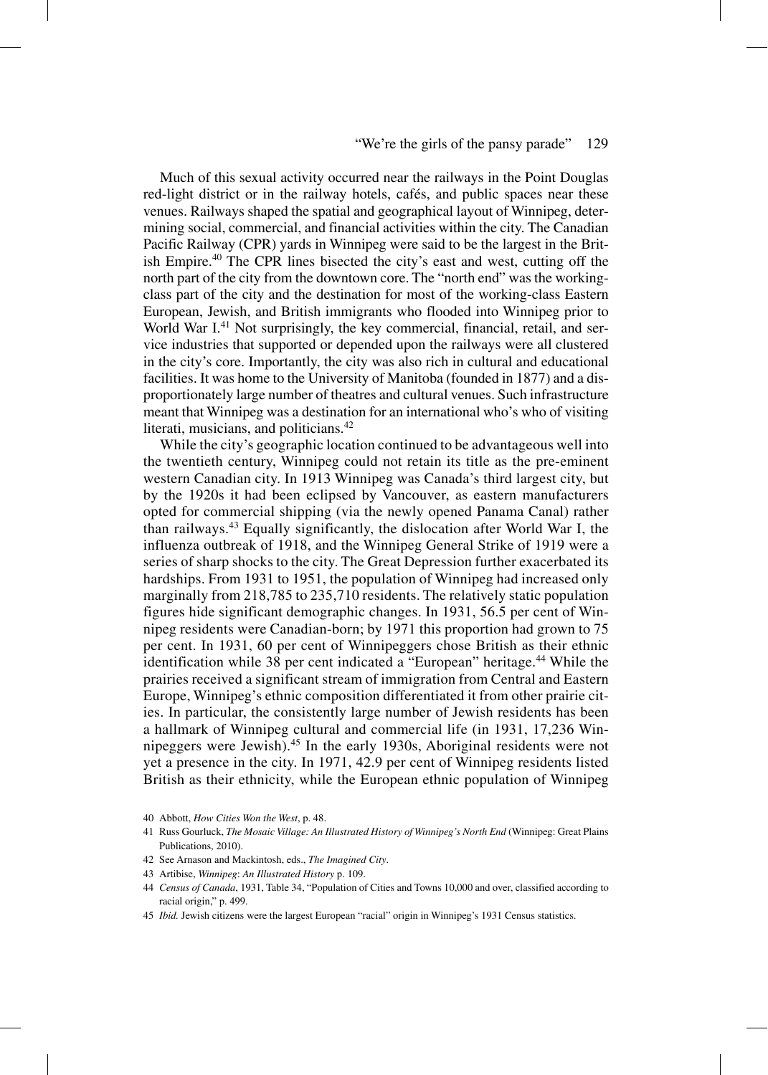Much of this sexual activity occurred near the railways in the Point Douglas red-light district or in the railway hotels, cafés, and public spaces near these venues. Railways shaped the spatial and geographical layout of Winnipeg, determining social, commercial, and financial activities within the city. The Canadian Pacific Railway (CPR) yards in Winnipeg were said to be the largest in the British Empire.40 The CPR lines bisected the city's east and west, cutting off the north part of the city from the downtown core. The "north end" was the workingclass part of the city and the destination for most of the working-class Eastern European, Jewish, and British immigrants who flooded into Winnipeg prior to World War I.<sup>41</sup> Not surprisingly, the key commercial, financial, retail, and service industries that supported or depended upon the railways were all clustered in the city's core. Importantly, the city was also rich in cultural and educational facilities. It was home to the University of Manitoba (founded in 1877) and a disproportionately large number of theatres and cultural venues. Such infrastructure meant that Winnipeg was a destination for an international who's who of visiting literati, musicians, and politicians.<sup>42</sup>

While the city's geographic location continued to be advantageous well into the twentieth century, Winnipeg could not retain its title as the pre-eminent western Canadian city. In 1913 Winnipeg was Canada's third largest city, but by the 1920s it had been eclipsed by Vancouver, as eastern manufacturers opted for commercial shipping (via the newly opened Panama Canal) rather than railways.43 Equally significantly, the dislocation after World War I, the influenza outbreak of 1918, and the Winnipeg General Strike of 1919 were a series of sharp shocks to the city. The Great Depression further exacerbated its hardships. From 1931 to 1951, the population of Winnipeg had increased only marginally from 218,785 to 235,710 residents. The relatively static population figures hide significant demographic changes. In 1931, 56.5 per cent of Winnipeg residents were Canadian-born; by 1971 this proportion had grown to 75 per cent. In 1931, 60 per cent of Winnipeggers chose British as their ethnic identification while 38 per cent indicated a "European" heritage.<sup>44</sup> While the prairies received a significant stream of immigration from Central and Eastern Europe, Winnipeg's ethnic composition differentiated it from other prairie cities. In particular, the consistently large number of Jewish residents has been a hallmark of Winnipeg cultural and commercial life (in 1931, 17,236 Winnipeggers were Jewish).45 In the early 1930s, Aboriginal residents were not yet a presence in the city. In 1971, 42.9 per cent of Winnipeg residents listed British as their ethnicity, while the European ethnic population of Winnipeg

<sup>40</sup> Abbott, *How Cities Won the West*, p. 48.

<sup>41</sup> Russ Gourluck, *The Mosaic Village: An Illustrated History of Winnipeg's North End* (Winnipeg: Great Plains Publications, 2010).

<sup>42</sup> See Arnason and Mackintosh, eds., *The Imagined City*.

<sup>43</sup> Artibise, *Winnipeg*: *An Illustrated History* p. 109.

<sup>44</sup> *Census of Canada*, 1931, Table 34, "Population of Cities and Towns 10,000 and over, classified according to racial origin," p. 499.

<sup>45</sup> *Ibid.* Jewish citizens were the largest European "racial" origin in Winnipeg's 1931 Census statistics.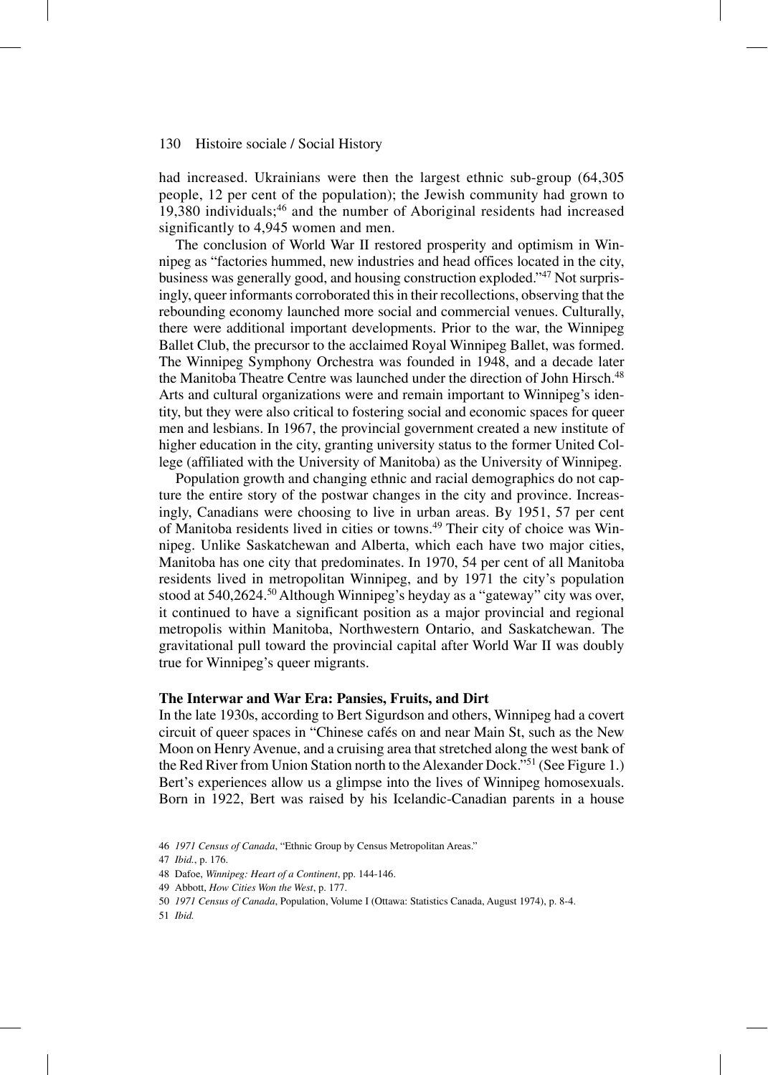had increased. Ukrainians were then the largest ethnic sub-group (64,305 people, 12 per cent of the population); the Jewish community had grown to 19,380 individuals;46 and the number of Aboriginal residents had increased significantly to 4,945 women and men.

The conclusion of World War II restored prosperity and optimism in Winnipeg as "factories hummed, new industries and head offices located in the city, business was generally good, and housing construction exploded."47 Not surprisingly, queer informants corroborated this in their recollections, observing that the rebounding economy launched more social and commercial venues. Culturally, there were additional important developments. Prior to the war, the Winnipeg Ballet Club, the precursor to the acclaimed Royal Winnipeg Ballet, was formed. The Winnipeg Symphony Orchestra was founded in 1948, and a decade later the Manitoba Theatre Centre was launched under the direction of John Hirsch.<sup>48</sup> Arts and cultural organizations were and remain important to Winnipeg's identity, but they were also critical to fostering social and economic spaces for queer men and lesbians. In 1967, the provincial government created a new institute of higher education in the city, granting university status to the former United College (affiliated with the University of Manitoba) as the University of Winnipeg.

Population growth and changing ethnic and racial demographics do not capture the entire story of the postwar changes in the city and province. Increasingly, Canadians were choosing to live in urban areas. By 1951, 57 per cent of Manitoba residents lived in cities or towns.49 Their city of choice was Winnipeg. Unlike Saskatchewan and Alberta, which each have two major cities, Manitoba has one city that predominates. In 1970, 54 per cent of all Manitoba residents lived in metropolitan Winnipeg, and by 1971 the city's population stood at 540,2624.<sup>50</sup> Although Winnipeg's heyday as a "gateway" city was over, it continued to have a significant position as a major provincial and regional metropolis within Manitoba, Northwestern Ontario, and Saskatchewan. The gravitational pull toward the provincial capital after World War II was doubly true for Winnipeg's queer migrants.

#### **The Interwar and War Era: Pansies, Fruits, and Dirt**

In the late 1930s, according to Bert Sigurdson and others, Winnipeg had a covert circuit of queer spaces in "Chinese cafés on and near Main St, such as the New Moon on Henry Avenue, and a cruising area that stretched along the west bank of the Red River from Union Station north to the Alexander Dock."51 (See Figure 1.) Bert's experiences allow us a glimpse into the lives of Winnipeg homosexuals. Born in 1922, Bert was raised by his Icelandic-Canadian parents in a house

51 *Ibid.*

<sup>46</sup> *1971 Census of Canada*, "Ethnic Group by Census Metropolitan Areas."

<sup>47</sup> *Ibid.*, p. 176.

<sup>48</sup> Dafoe, *Winnipeg: Heart of a Continent*, pp. 144-146.

<sup>49</sup> Abbott, *How Cities Won the West*, p. 177.

<sup>50</sup> *1971 Census of Canada*, Population, Volume I (Ottawa: Statistics Canada, August 1974), p. 8-4.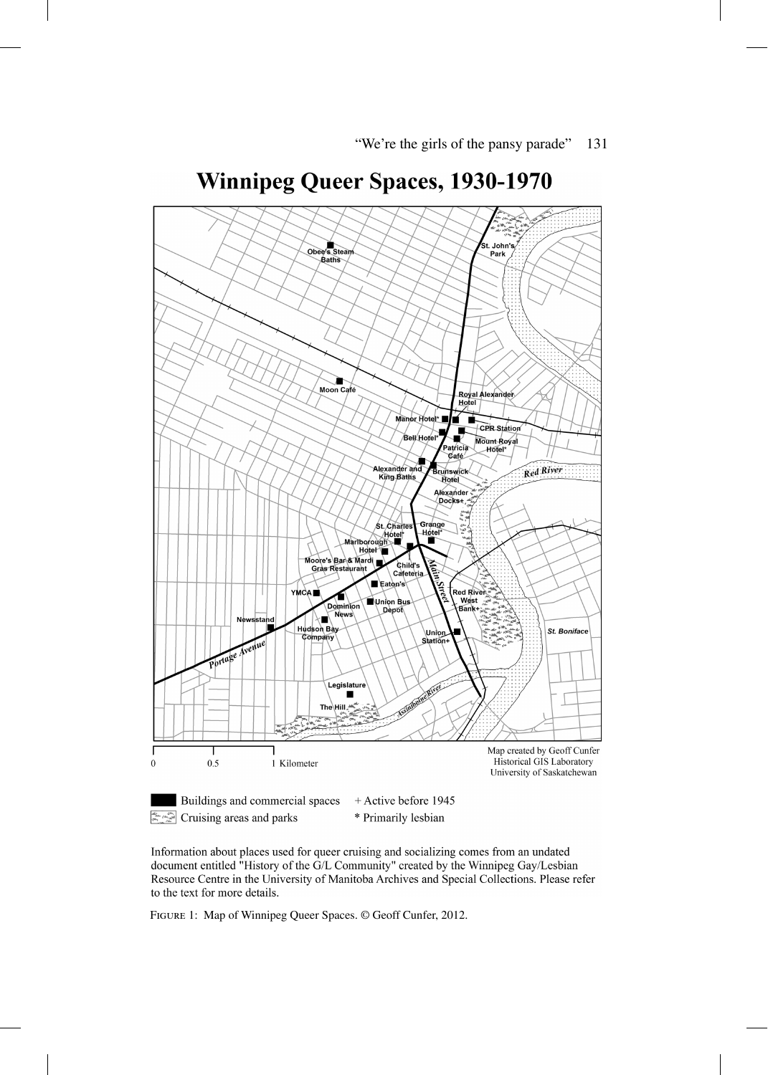

## **Winnipeg Queer Spaces, 1930-1970**

Information about places used for queer cruising and socializing comes from an undated document entitled "History of the G/L Community" created by the Winnipeg Gay/Lesbian Resource Centre in the University of Manitoba Archives and Special Collections. Please refer to the text for more details.

FIGURE 1: Map of Winnipeg Queer Spaces. © Geoff Cunfer, 2012.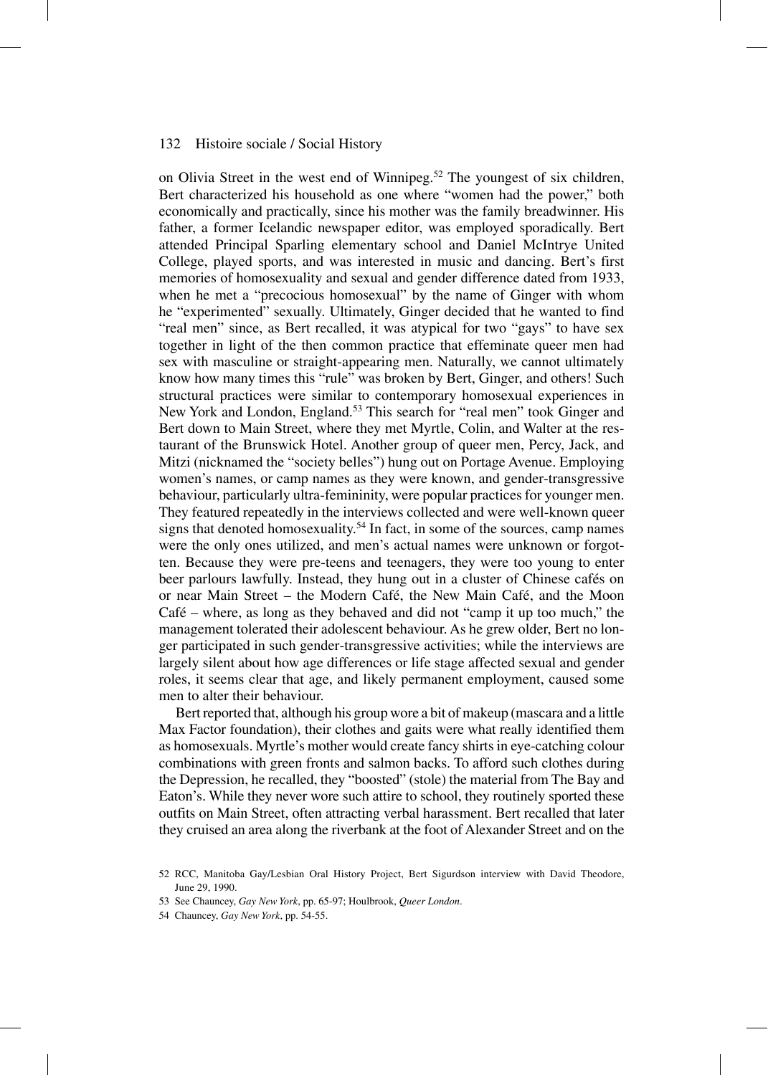on Olivia Street in the west end of Winnipeg.52 The youngest of six children, Bert characterized his household as one where "women had the power," both economically and practically, since his mother was the family breadwinner. His father, a former Icelandic newspaper editor, was employed sporadically. Bert attended Principal Sparling elementary school and Daniel McIntrye United College, played sports, and was interested in music and dancing. Bert's first memories of homosexuality and sexual and gender difference dated from 1933, when he met a "precocious homosexual" by the name of Ginger with whom he "experimented" sexually. Ultimately, Ginger decided that he wanted to find "real men" since, as Bert recalled, it was atypical for two "gays" to have sex together in light of the then common practice that effeminate queer men had sex with masculine or straight-appearing men. Naturally, we cannot ultimately know how many times this "rule" was broken by Bert, Ginger, and others! Such structural practices were similar to contemporary homosexual experiences in New York and London, England.<sup>53</sup> This search for "real men" took Ginger and Bert down to Main Street, where they met Myrtle, Colin, and Walter at the restaurant of the Brunswick Hotel. Another group of queer men, Percy, Jack, and Mitzi (nicknamed the "society belles") hung out on Portage Avenue. Employing women's names, or camp names as they were known, and gender-transgressive behaviour, particularly ultra-femininity, were popular practices for younger men. They featured repeatedly in the interviews collected and were well-known queer signs that denoted homosexuality.<sup>54</sup> In fact, in some of the sources, camp names were the only ones utilized, and men's actual names were unknown or forgotten. Because they were pre-teens and teenagers, they were too young to enter beer parlours lawfully. Instead, they hung out in a cluster of Chinese cafés on or near Main Street – the Modern Café, the New Main Café, and the Moon Café – where, as long as they behaved and did not "camp it up too much," the management tolerated their adolescent behaviour. As he grew older, Bert no longer participated in such gender-transgressive activities; while the interviews are largely silent about how age differences or life stage affected sexual and gender roles, it seems clear that age, and likely permanent employment, caused some men to alter their behaviour.

Bert reported that, although his group wore a bit of makeup (mascara and a little Max Factor foundation), their clothes and gaits were what really identified them as homosexuals. Myrtle's mother would create fancy shirts in eye-catching colour combinations with green fronts and salmon backs. To afford such clothes during the Depression, he recalled, they "boosted" (stole) the material from The Bay and Eaton's. While they never wore such attire to school, they routinely sported these outfits on Main Street, often attracting verbal harassment. Bert recalled that later they cruised an area along the riverbank at the foot of Alexander Street and on the

<sup>52</sup> RCC, Manitoba Gay/Lesbian Oral History Project, Bert Sigurdson interview with David Theodore, June 29, 1990.

<sup>53</sup> See Chauncey, *Gay New York*, pp. 65-97; Houlbrook, *Queer London*.

<sup>54</sup> Chauncey, *Gay New York*, pp. 54-55.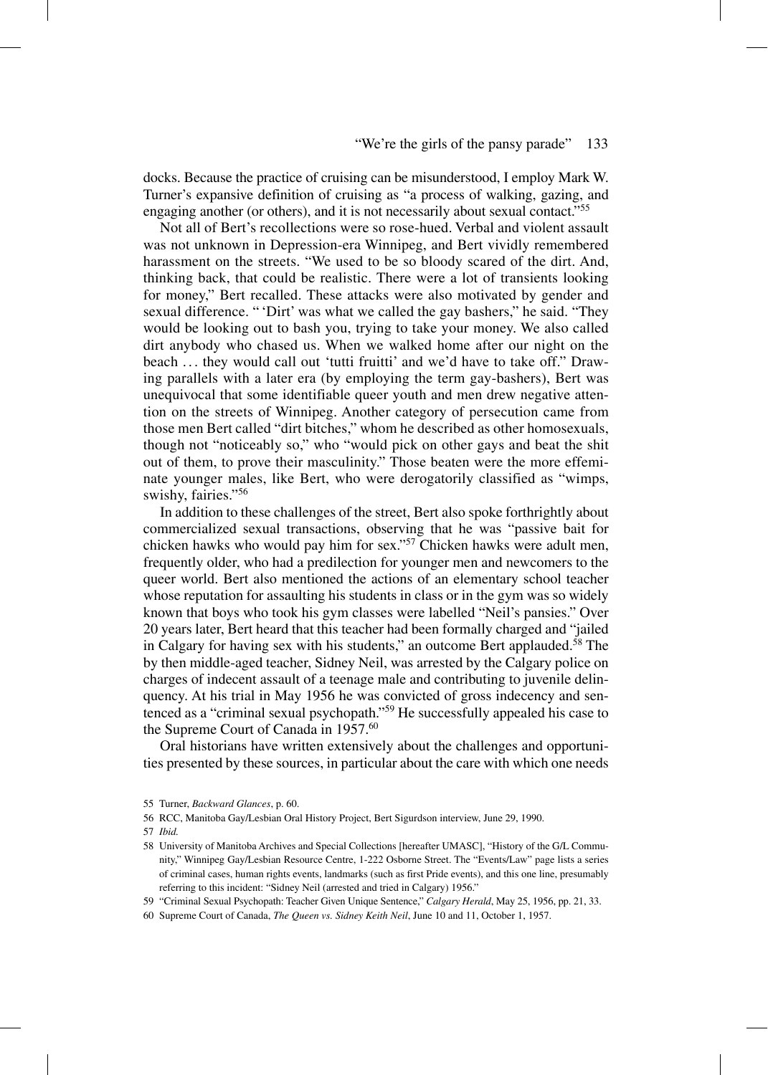docks. Because the practice of cruising can be misunderstood, I employ Mark W. Turner's expansive definition of cruising as "a process of walking, gazing, and engaging another (or others), and it is not necessarily about sexual contact."55

Not all of Bert's recollections were so rose-hued. Verbal and violent assault was not unknown in Depression-era Winnipeg, and Bert vividly remembered harassment on the streets. "We used to be so bloody scared of the dirt. And, thinking back, that could be realistic. There were a lot of transients looking for money," Bert recalled. These attacks were also motivated by gender and sexual difference. " 'Dirt' was what we called the gay bashers," he said. "They would be looking out to bash you, trying to take your money. We also called dirt anybody who chased us. When we walked home after our night on the beach . . . they would call out 'tutti fruitti' and we'd have to take off." Drawing parallels with a later era (by employing the term gay-bashers), Bert was unequivocal that some identifiable queer youth and men drew negative attention on the streets of Winnipeg. Another category of persecution came from those men Bert called "dirt bitches," whom he described as other homosexuals, though not "noticeably so," who "would pick on other gays and beat the shit out of them, to prove their masculinity." Those beaten were the more effeminate younger males, like Bert, who were derogatorily classified as "wimps, swishy, fairies."56

In addition to these challenges of the street, Bert also spoke forthrightly about commercialized sexual transactions, observing that he was "passive bait for chicken hawks who would pay him for sex."57 Chicken hawks were adult men, frequently older, who had a predilection for younger men and newcomers to the queer world. Bert also mentioned the actions of an elementary school teacher whose reputation for assaulting his students in class or in the gym was so widely known that boys who took his gym classes were labelled "Neil's pansies." Over 20 years later, Bert heard that this teacher had been formally charged and "jailed in Calgary for having sex with his students," an outcome Bert applauded.<sup>58</sup> The by then middle-aged teacher, Sidney Neil, was arrested by the Calgary police on charges of indecent assault of a teenage male and contributing to juvenile delinquency. At his trial in May 1956 he was convicted of gross indecency and sentenced as a "criminal sexual psychopath."59 He successfully appealed his case to the Supreme Court of Canada in 1957.<sup>60</sup>

Oral historians have written extensively about the challenges and opportunities presented by these sources, in particular about the care with which one needs

<sup>55</sup> Turner, *Backward Glances*, p. 60.

<sup>56</sup> RCC, Manitoba Gay/Lesbian Oral History Project, Bert Sigurdson interview, June 29, 1990.

<sup>57</sup> *Ibid.*

<sup>58</sup> University of Manitoba Archives and Special Collections [hereafter UMASC], "History of the G/L Community," Winnipeg Gay/Lesbian Resource Centre, 1-222 Osborne Street. The "Events/Law" page lists a series of criminal cases, human rights events, landmarks (such as first Pride events), and this one line, presumably referring to this incident: "Sidney Neil (arrested and tried in Calgary) 1956."

<sup>59 &</sup>quot;Criminal Sexual Psychopath: Teacher Given Unique Sentence," *Calgary Herald*, May 25, 1956, pp. 21, 33.

<sup>60</sup> Supreme Court of Canada, *The Queen vs. Sidney Keith Neil*, June 10 and 11, October 1, 1957.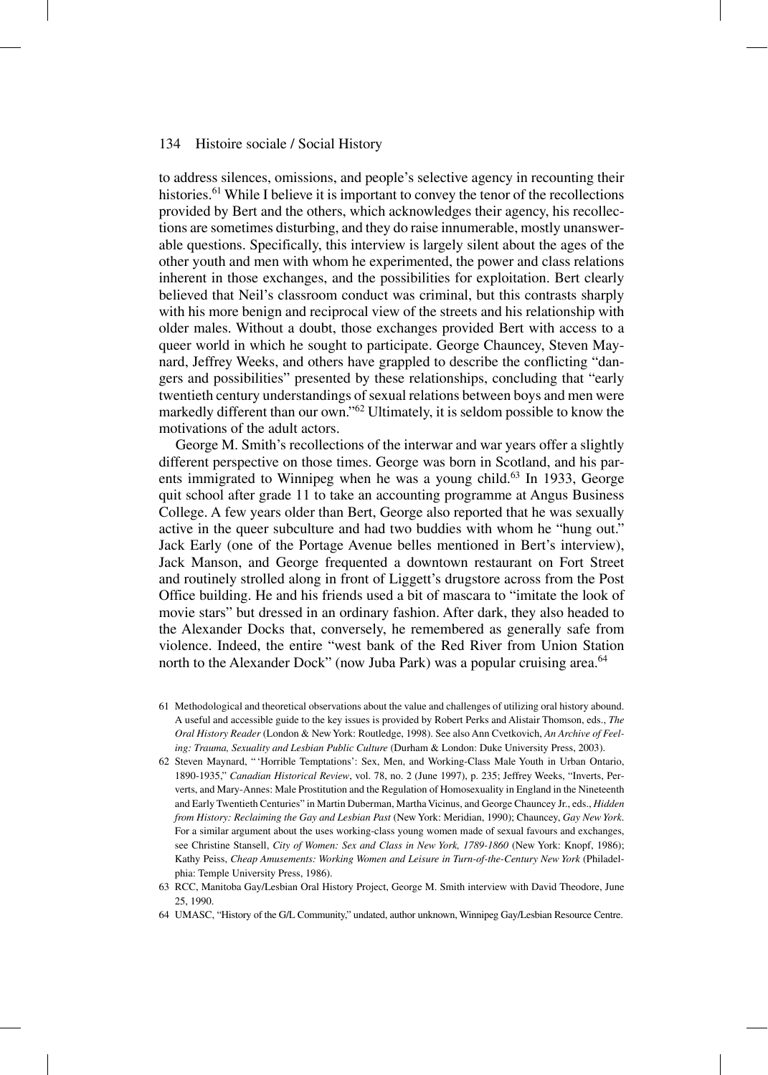to address silences, omissions, and people's selective agency in recounting their histories.<sup>61</sup> While I believe it is important to convey the tenor of the recollections provided by Bert and the others, which acknowledges their agency, his recollections are sometimes disturbing, and they do raise innumerable, mostly unanswerable questions. Specifically, this interview is largely silent about the ages of the other youth and men with whom he experimented, the power and class relations inherent in those exchanges, and the possibilities for exploitation. Bert clearly believed that Neil's classroom conduct was criminal, but this contrasts sharply with his more benign and reciprocal view of the streets and his relationship with older males. Without a doubt, those exchanges provided Bert with access to a queer world in which he sought to participate. George Chauncey, Steven Maynard, Jeffrey Weeks, and others have grappled to describe the conflicting "dangers and possibilities" presented by these relationships, concluding that "early twentieth century understandings of sexual relations between boys and men were markedly different than our own."62 Ultimately, it is seldom possible to know the motivations of the adult actors.

George M. Smith's recollections of the interwar and war years offer a slightly different perspective on those times. George was born in Scotland, and his parents immigrated to Winnipeg when he was a young child.<sup>63</sup> In 1933, George quit school after grade 11 to take an accounting programme at Angus Business College. A few years older than Bert, George also reported that he was sexually active in the queer subculture and had two buddies with whom he "hung out." Jack Early (one of the Portage Avenue belles mentioned in Bert's interview), Jack Manson, and George frequented a downtown restaurant on Fort Street and routinely strolled along in front of Liggett's drugstore across from the Post Office building. He and his friends used a bit of mascara to "imitate the look of movie stars" but dressed in an ordinary fashion. After dark, they also headed to the Alexander Docks that, conversely, he remembered as generally safe from violence. Indeed, the entire "west bank of the Red River from Union Station north to the Alexander Dock" (now Juba Park) was a popular cruising area.<sup>64</sup>

- 61 Methodological and theoretical observations about the value and challenges of utilizing oral history abound. A useful and accessible guide to the key issues is provided by Robert Perks and Alistair Thomson, eds., *The Oral History Reader* (London & New York: Routledge, 1998). See also Ann Cvetkovich, *An Archive of Feeling: Trauma, Sexuality and Lesbian Public Culture* (Durham & London: Duke University Press, 2003).
- 62 Steven Maynard, " 'Horrible Temptations': Sex, Men, and Working-Class Male Youth in Urban Ontario, 1890-1935," *Canadian Historical Review*, vol. 78, no. 2 (June 1997), p. 235; Jeffrey Weeks, "Inverts, Perverts, and Mary-Annes: Male Prostitution and the Regulation of Homosexuality in England in the Nineteenth and Early Twentieth Centuries" in Martin Duberman, Martha Vicinus, and George Chauncey Jr., eds., *Hidden from History: Reclaiming the Gay and Lesbian Past* (New York: Meridian, 1990); Chauncey, *Gay New York*. For a similar argument about the uses working-class young women made of sexual favours and exchanges, see Christine Stansell, *City of Women: Sex and Class in New York, 1789-1860* (New York: Knopf, 1986); Kathy Peiss, *Cheap Amusements: Working Women and Leisure in Turn-of-the-Century New York* (Philadelphia: Temple University Press, 1986).
- 63 RCC, Manitoba Gay/Lesbian Oral History Project, George M. Smith interview with David Theodore, June 25, 1990.
- 64 UMASC, "History of the G/L Community," undated, author unknown, Winnipeg Gay/Lesbian Resource Centre.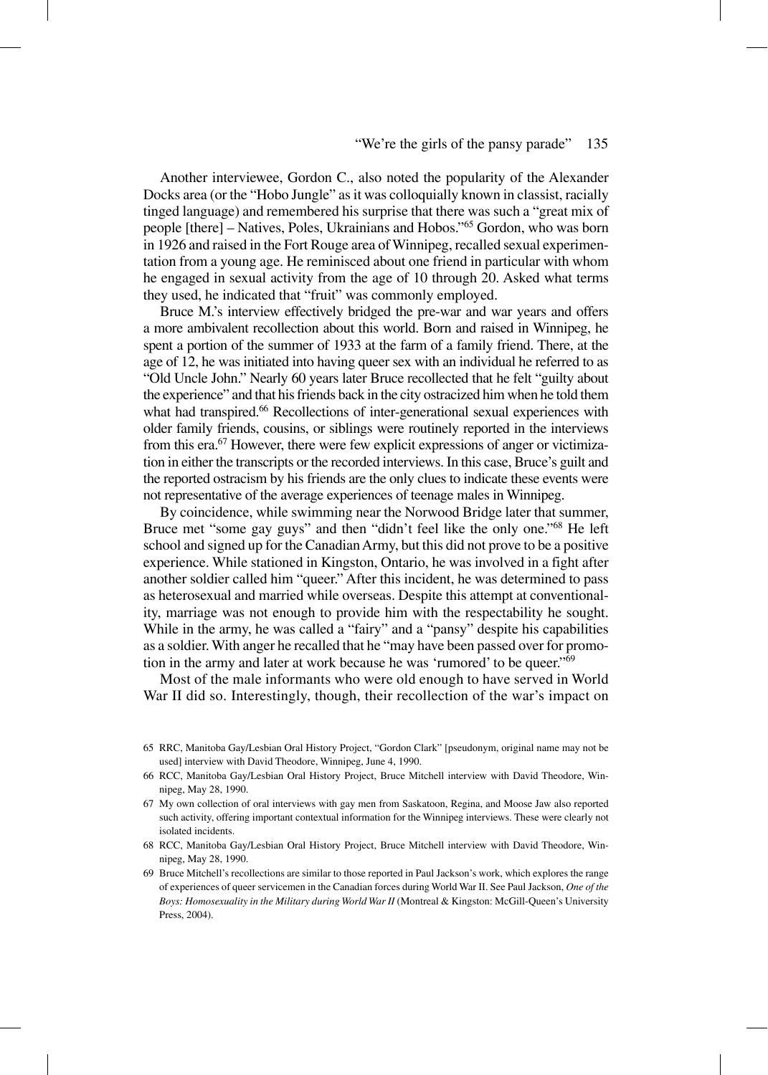Another interviewee, Gordon C., also noted the popularity of the Alexander Docks area (or the "Hobo Jungle" as it was colloquially known in classist, racially tinged language) and remembered his surprise that there was such a "great mix of people [there] – Natives, Poles, Ukrainians and Hobos."65 Gordon, who was born in 1926 and raised in the Fort Rouge area of Winnipeg, recalled sexual experimentation from a young age. He reminisced about one friend in particular with whom he engaged in sexual activity from the age of 10 through 20. Asked what terms they used, he indicated that "fruit" was commonly employed.

Bruce M.'s interview effectively bridged the pre-war and war years and offers a more ambivalent recollection about this world. Born and raised in Winnipeg, he spent a portion of the summer of 1933 at the farm of a family friend. There, at the age of 12, he was initiated into having queer sex with an individual he referred to as "Old Uncle John." Nearly 60 years later Bruce recollected that he felt "guilty about the experience" and that his friends back in the city ostracized him when he told them what had transpired.<sup>66</sup> Recollections of inter-generational sexual experiences with older family friends, cousins, or siblings were routinely reported in the interviews from this era.<sup>67</sup> However, there were few explicit expressions of anger or victimization in either the transcripts or the recorded interviews. In this case, Bruce's guilt and the reported ostracism by his friends are the only clues to indicate these events were not representative of the average experiences of teenage males in Winnipeg.

By coincidence, while swimming near the Norwood Bridge later that summer, Bruce met "some gay guys" and then "didn't feel like the only one."68 He left school and signed up for the Canadian Army, but this did not prove to be a positive experience. While stationed in Kingston, Ontario, he was involved in a fight after another soldier called him "queer." After this incident, he was determined to pass as heterosexual and married while overseas. Despite this attempt at conventionality, marriage was not enough to provide him with the respectability he sought. While in the army, he was called a "fairy" and a "pansy" despite his capabilities as a soldier. With anger he recalled that he "may have been passed over for promotion in the army and later at work because he was 'rumored' to be queer."69

Most of the male informants who were old enough to have served in World War II did so. Interestingly, though, their recollection of the war's impact on

<sup>65</sup> RRC, Manitoba Gay/Lesbian Oral History Project, "Gordon Clark" [pseudonym, original name may not be used] interview with David Theodore, Winnipeg, June 4, 1990.

<sup>66</sup> RCC, Manitoba Gay/Lesbian Oral History Project, Bruce Mitchell interview with David Theodore, Winnipeg, May 28, 1990.

<sup>67</sup> My own collection of oral interviews with gay men from Saskatoon, Regina, and Moose Jaw also reported such activity, offering important contextual information for the Winnipeg interviews. These were clearly not isolated incidents.

<sup>68</sup> RCC, Manitoba Gay/Lesbian Oral History Project, Bruce Mitchell interview with David Theodore, Winnipeg, May 28, 1990.

<sup>69</sup> Bruce Mitchell's recollections are similar to those reported in Paul Jackson's work, which explores the range of experiences of queer servicemen in the Canadian forces during World War II. See Paul Jackson, *One of the Boys: Homosexuality in the Military during World War II* (Montreal & Kingston: McGill-Queen's University Press, 2004).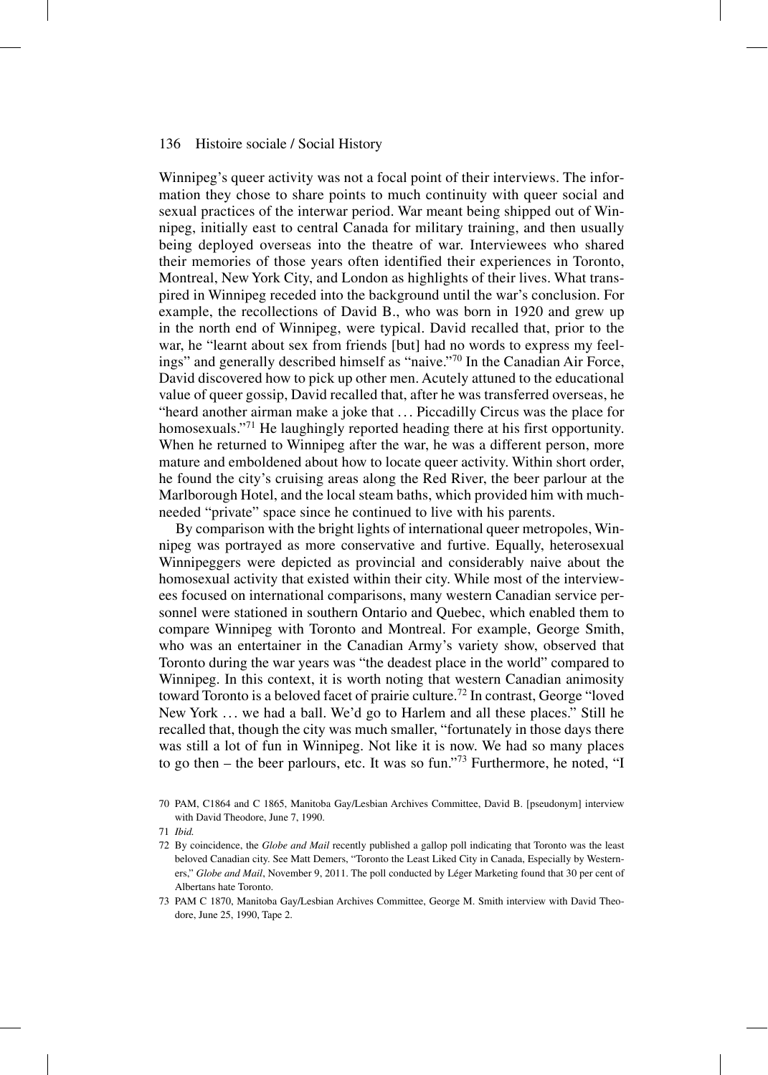Winnipeg's queer activity was not a focal point of their interviews. The information they chose to share points to much continuity with queer social and sexual practices of the interwar period. War meant being shipped out of Winnipeg, initially east to central Canada for military training, and then usually being deployed overseas into the theatre of war. Interviewees who shared their memories of those years often identified their experiences in Toronto, Montreal, New York City, and London as highlights of their lives. What transpired in Winnipeg receded into the background until the war's conclusion. For example, the recollections of David B., who was born in 1920 and grew up in the north end of Winnipeg, were typical. David recalled that, prior to the war, he "learnt about sex from friends [but] had no words to express my feelings" and generally described himself as "naive."70 In the Canadian Air Force, David discovered how to pick up other men. Acutely attuned to the educational value of queer gossip, David recalled that, after he was transferred overseas, he "heard another airman make a joke that ... Piccadilly Circus was the place for homosexuals."71 He laughingly reported heading there at his first opportunity. When he returned to Winnipeg after the war, he was a different person, more mature and emboldened about how to locate queer activity. Within short order, he found the city's cruising areas along the Red River, the beer parlour at the Marlborough Hotel, and the local steam baths, which provided him with muchneeded "private" space since he continued to live with his parents.

By comparison with the bright lights of international queer metropoles, Winnipeg was portrayed as more conservative and furtive. Equally, heterosexual Winnipeggers were depicted as provincial and considerably naive about the homosexual activity that existed within their city. While most of the interviewees focused on international comparisons, many western Canadian service personnel were stationed in southern Ontario and Quebec, which enabled them to compare Winnipeg with Toronto and Montreal. For example, George Smith, who was an entertainer in the Canadian Army's variety show, observed that Toronto during the war years was "the deadest place in the world" compared to Winnipeg. In this context, it is worth noting that western Canadian animosity toward Toronto is a beloved facet of prairie culture.72 In contrast, George "loved New York ... we had a ball. We'd go to Harlem and all these places." Still he recalled that, though the city was much smaller, "fortunately in those days there was still a lot of fun in Winnipeg. Not like it is now. We had so many places to go then – the beer parlours, etc. It was so fun."73 Furthermore, he noted, "I

<sup>70</sup> PAM, C1864 and C 1865, Manitoba Gay/Lesbian Archives Committee, David B. [pseudonym] interview with David Theodore, June 7, 1990.

<sup>71</sup> *Ibid.*

<sup>72</sup> By coincidence, the *Globe and Mail* recently published a gallop poll indicating that Toronto was the least beloved Canadian city. See Matt Demers, "Toronto the Least Liked City in Canada, Especially by Westerners," *Globe and Mail*, November 9, 2011. The poll conducted by Léger Marketing found that 30 per cent of Albertans hate Toronto.

<sup>73</sup> PAM C 1870, Manitoba Gay/Lesbian Archives Committee, George M. Smith interview with David Theodore, June 25, 1990, Tape 2.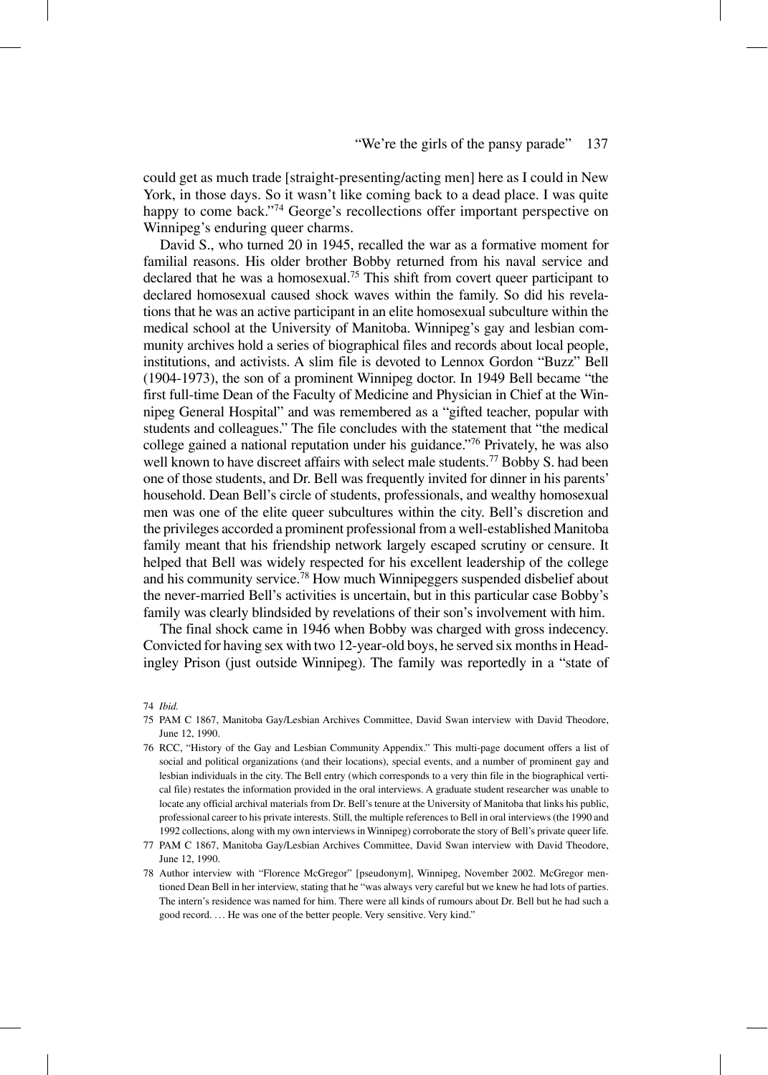could get as much trade [straight-presenting/acting men] here as I could in New York, in those days. So it wasn't like coming back to a dead place. I was quite happy to come back."<sup>74</sup> George's recollections offer important perspective on Winnipeg's enduring queer charms.

David S., who turned 20 in 1945, recalled the war as a formative moment for familial reasons. His older brother Bobby returned from his naval service and declared that he was a homosexual.<sup>75</sup> This shift from covert queer participant to declared homosexual caused shock waves within the family. So did his revelations that he was an active participant in an elite homosexual subculture within the medical school at the University of Manitoba. Winnipeg's gay and lesbian community archives hold a series of biographical files and records about local people, institutions, and activists. A slim file is devoted to Lennox Gordon "Buzz" Bell (1904-1973), the son of a prominent Winnipeg doctor. In 1949 Bell became "the first full-time Dean of the Faculty of Medicine and Physician in Chief at the Winnipeg General Hospital" and was remembered as a "gifted teacher, popular with students and colleagues." The file concludes with the statement that "the medical college gained a national reputation under his guidance."76 Privately, he was also well known to have discreet affairs with select male students.<sup>77</sup> Bobby S. had been one of those students, and Dr. Bell was frequently invited for dinner in his parents' household. Dean Bell's circle of students, professionals, and wealthy homosexual men was one of the elite queer subcultures within the city. Bell's discretion and the privileges accorded a prominent professional from a well-established Manitoba family meant that his friendship network largely escaped scrutiny or censure. It helped that Bell was widely respected for his excellent leadership of the college and his community service.78 How much Winnipeggers suspended disbelief about the never-married Bell's activities is uncertain, but in this particular case Bobby's family was clearly blindsided by revelations of their son's involvement with him.

The final shock came in 1946 when Bobby was charged with gross indecency. Convicted for having sex with two 12-year-old boys, he served six months in Headingley Prison (just outside Winnipeg). The family was reportedly in a "state of

- 76 RCC, "History of the Gay and Lesbian Community Appendix." This multi-page document offers a list of social and political organizations (and their locations), special events, and a number of prominent gay and lesbian individuals in the city. The Bell entry (which corresponds to a very thin file in the biographical vertical file) restates the information provided in the oral interviews. A graduate student researcher was unable to locate any official archival materials from Dr. Bell's tenure at the University of Manitoba that links his public, professional career to his private interests. Still, the multiple references to Bell in oral interviews (the 1990 and 1992 collections, along with my own interviews in Winnipeg) corroborate the story of Bell's private queer life.
- 77 PAM C 1867, Manitoba Gay/Lesbian Archives Committee, David Swan interview with David Theodore, June 12, 1990.
- 78 Author interview with "Florence McGregor" [pseudonym], Winnipeg, November 2002. McGregor mentioned Dean Bell in her interview, stating that he "was always very careful but we knew he had lots of parties. The intern's residence was named for him. There were all kinds of rumours about Dr. Bell but he had such a good record. ... He was one of the better people. Very sensitive. Very kind."

<sup>74</sup> *Ibid.*

<sup>75</sup> PAM C 1867, Manitoba Gay/Lesbian Archives Committee, David Swan interview with David Theodore, June 12, 1990.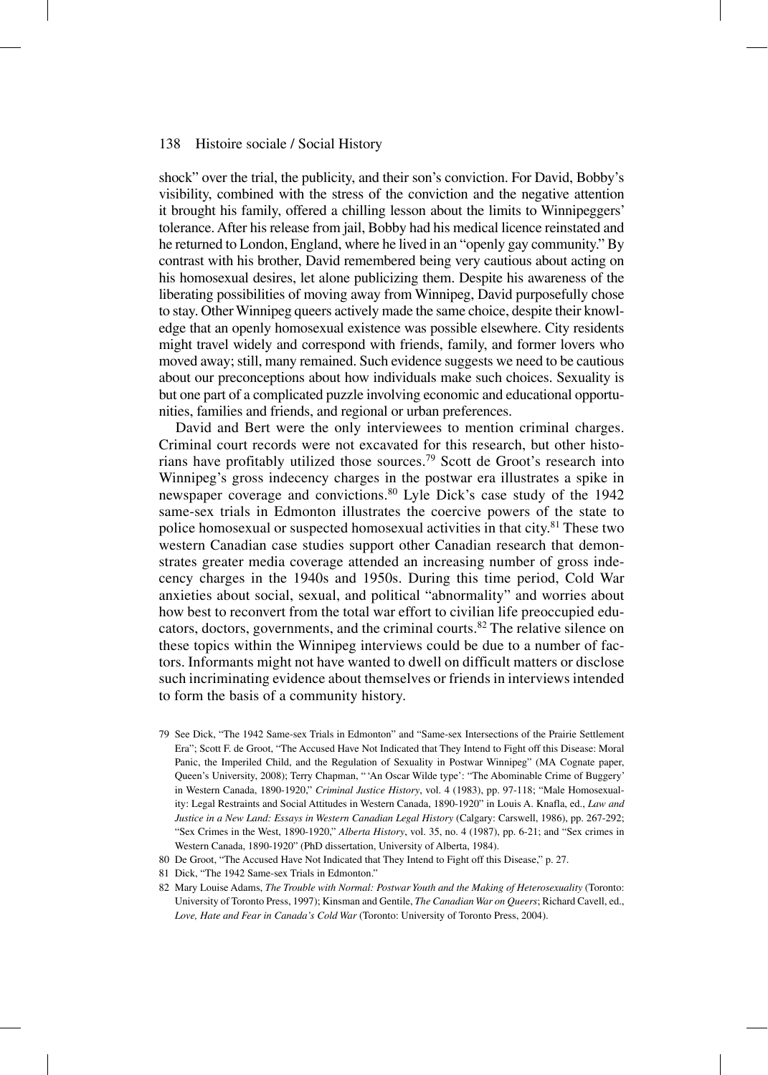shock" over the trial, the publicity, and their son's conviction. For David, Bobby's visibility, combined with the stress of the conviction and the negative attention it brought his family, offered a chilling lesson about the limits to Winnipeggers' tolerance. After his release from jail, Bobby had his medical licence reinstated and he returned to London, England, where he lived in an "openly gay community." By contrast with his brother, David remembered being very cautious about acting on his homosexual desires, let alone publicizing them. Despite his awareness of the liberating possibilities of moving away from Winnipeg, David purposefully chose to stay. Other Winnipeg queers actively made the same choice, despite their knowledge that an openly homosexual existence was possible elsewhere. City residents might travel widely and correspond with friends, family, and former lovers who moved away; still, many remained. Such evidence suggests we need to be cautious about our preconceptions about how individuals make such choices. Sexuality is but one part of a complicated puzzle involving economic and educational opportunities, families and friends, and regional or urban preferences.

David and Bert were the only interviewees to mention criminal charges. Criminal court records were not excavated for this research, but other historians have profitably utilized those sources.79 Scott de Groot's research into Winnipeg's gross indecency charges in the postwar era illustrates a spike in newspaper coverage and convictions.<sup>80</sup> Lyle Dick's case study of the 1942 same-sex trials in Edmonton illustrates the coercive powers of the state to police homosexual or suspected homosexual activities in that city.81 These two western Canadian case studies support other Canadian research that demonstrates greater media coverage attended an increasing number of gross indecency charges in the 1940s and 1950s. During this time period, Cold War anxieties about social, sexual, and political "abnormality" and worries about how best to reconvert from the total war effort to civilian life preoccupied educators, doctors, governments, and the criminal courts.<sup>82</sup> The relative silence on these topics within the Winnipeg interviews could be due to a number of factors. Informants might not have wanted to dwell on difficult matters or disclose such incriminating evidence about themselves or friends in interviews intended to form the basis of a community history.

- 79 See Dick, "The 1942 Same-sex Trials in Edmonton" and "Same-sex Intersections of the Prairie Settlement Era"; Scott F. de Groot, "The Accused Have Not Indicated that They Intend to Fight off this Disease: Moral Panic, the Imperiled Child, and the Regulation of Sexuality in Postwar Winnipeg" (MA Cognate paper, Queen's University, 2008); Terry Chapman, " 'An Oscar Wilde type': "The Abominable Crime of Buggery' in Western Canada, 1890-1920," *Criminal Justice History*, vol. 4 (1983), pp. 97-118; "Male Homosexuality: Legal Restraints and Social Attitudes in Western Canada, 1890-1920" in Louis A. Knafla, ed., *Law and Justice in a New Land: Essays in Western Canadian Legal History* (Calgary: Carswell, 1986), pp. 267-292; "Sex Crimes in the West, 1890-1920," *Alberta History*, vol. 35, no. 4 (1987), pp. 6-21; and "Sex crimes in Western Canada, 1890-1920" (PhD dissertation, University of Alberta, 1984).
- 80 De Groot, "The Accused Have Not Indicated that They Intend to Fight off this Disease," p. 27.
- 81 Dick, "The 1942 Same-sex Trials in Edmonton."
- 82 Mary Louise Adams, *The Trouble with Normal: Postwar Youth and the Making of Heterosexuality* (Toronto: University of Toronto Press, 1997); Kinsman and Gentile, *The Canadian War on Queers*; Richard Cavell, ed., Love, Hate and Fear in Canada's Cold War (Toronto: University of Toronto Press, 2004).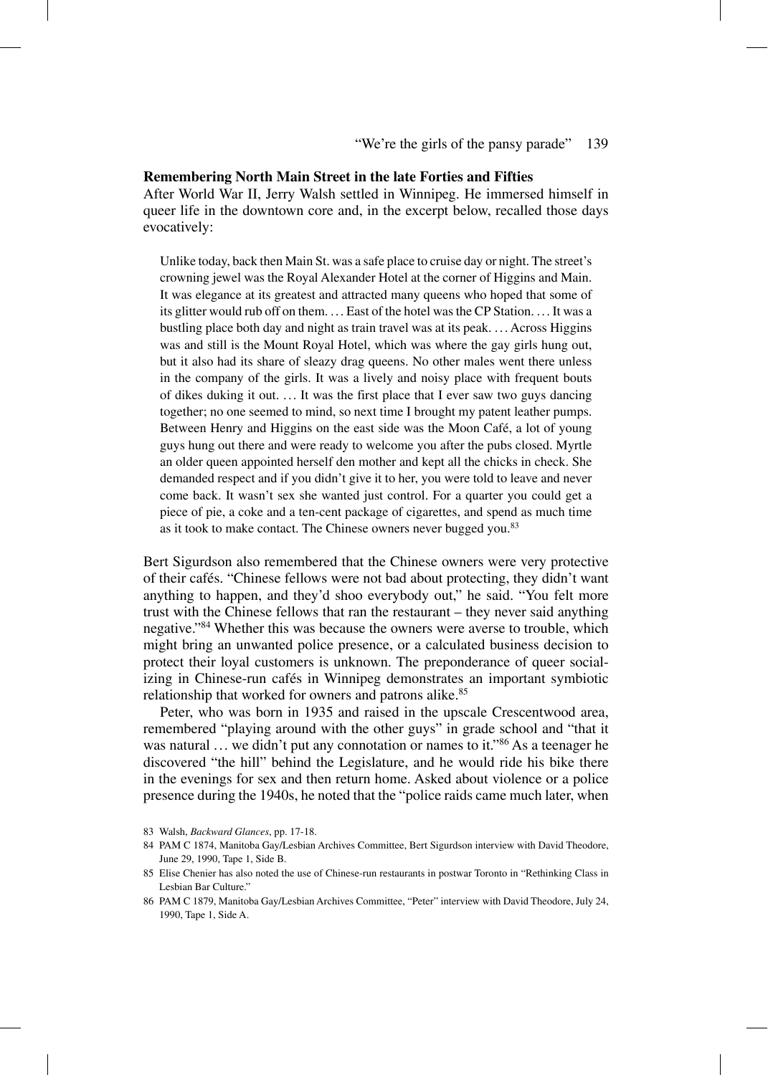#### **Remembering North Main Street in the late Forties and Fifties**

After World War II, Jerry Walsh settled in Winnipeg. He immersed himself in queer life in the downtown core and, in the excerpt below, recalled those days evocatively:

Unlike today, back then Main St. was a safe place to cruise day or night. The street's crowning jewel was the Royal Alexander Hotel at the corner of Higgins and Main. It was elegance at its greatest and attracted many queens who hoped that some of its glitter would rub off on them. . . . East of the hotel was the CP Station. . . . It was a bustling place both day and night as train travel was at its peak. . . . Across Higgins was and still is the Mount Royal Hotel, which was where the gay girls hung out, but it also had its share of sleazy drag queens. No other males went there unless in the company of the girls. It was a lively and noisy place with frequent bouts of dikes duking it out. ... It was the first place that I ever saw two guys dancing together; no one seemed to mind, so next time I brought my patent leather pumps. Between Henry and Higgins on the east side was the Moon Café, a lot of young guys hung out there and were ready to welcome you after the pubs closed. Myrtle an older queen appointed herself den mother and kept all the chicks in check. She demanded respect and if you didn't give it to her, you were told to leave and never come back. It wasn't sex she wanted just control. For a quarter you could get a piece of pie, a coke and a ten-cent package of cigarettes, and spend as much time as it took to make contact. The Chinese owners never bugged you.<sup>83</sup>

Bert Sigurdson also remembered that the Chinese owners were very protective of their cafés. "Chinese fellows were not bad about protecting, they didn't want anything to happen, and they'd shoo everybody out," he said. "You felt more trust with the Chinese fellows that ran the restaurant – they never said anything negative."84 Whether this was because the owners were averse to trouble, which might bring an unwanted police presence, or a calculated business decision to protect their loyal customers is unknown. The preponderance of queer socializing in Chinese-run cafés in Winnipeg demonstrates an important symbiotic relationship that worked for owners and patrons alike.<sup>85</sup>

Peter, who was born in 1935 and raised in the upscale Crescentwood area, remembered "playing around with the other guys" in grade school and "that it was natural ... we didn't put any connotation or names to it."<sup>86</sup> As a teenager he discovered "the hill" behind the Legislature, and he would ride his bike there in the evenings for sex and then return home. Asked about violence or a police presence during the 1940s, he noted that the "police raids came much later, when

<sup>83</sup> Walsh, *Backward Glances*, pp. 17-18.

<sup>84</sup> PAM C 1874, Manitoba Gay/Lesbian Archives Committee, Bert Sigurdson interview with David Theodore, June 29, 1990, Tape 1, Side B.

<sup>85</sup> Elise Chenier has also noted the use of Chinese-run restaurants in postwar Toronto in "Rethinking Class in Lesbian Bar Culture."

<sup>86</sup> PAM C 1879, Manitoba Gay/Lesbian Archives Committee, "Peter" interview with David Theodore, July 24, 1990, Tape 1, Side A.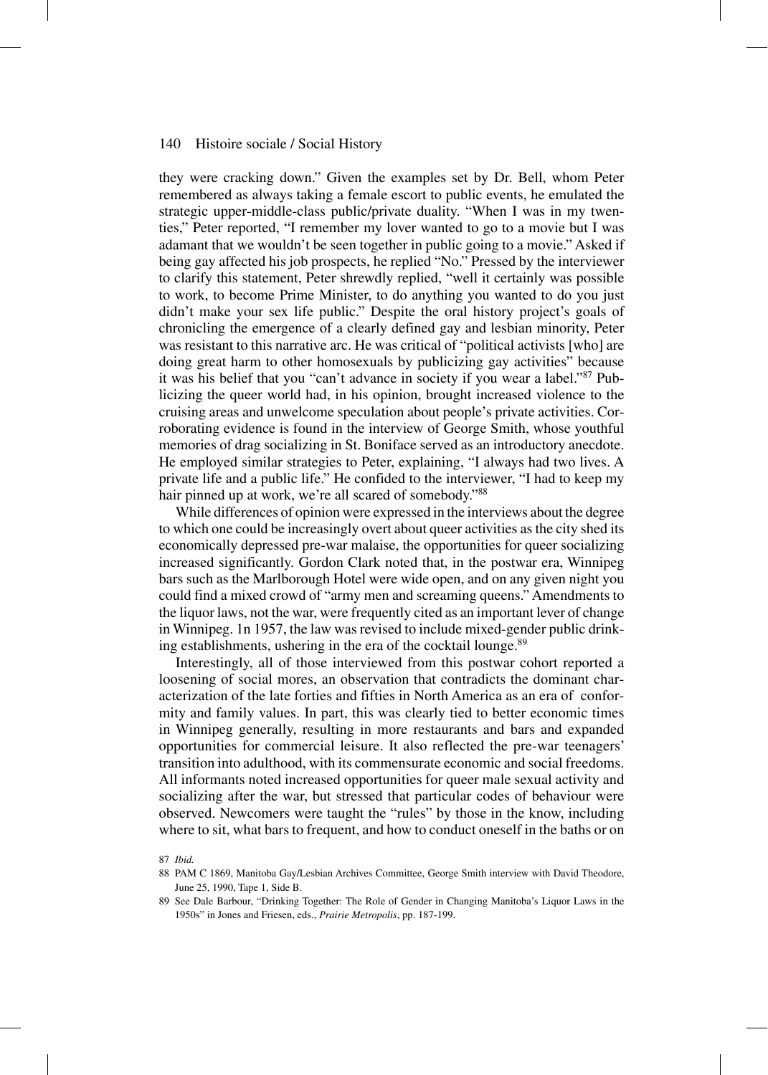they were cracking down." Given the examples set by Dr. Bell, whom Peter remembered as always taking a female escort to public events, he emulated the strategic upper-middle-class public/private duality. "When I was in my twenties," Peter reported, "I remember my lover wanted to go to a movie but I was adamant that we wouldn't be seen together in public going to a movie." Asked if being gay affected his job prospects, he replied "No." Pressed by the interviewer to clarify this statement, Peter shrewdly replied, "well it certainly was possible to work, to become Prime Minister, to do anything you wanted to do you just didn't make your sex life public." Despite the oral history project's goals of chronicling the emergence of a clearly defined gay and lesbian minority, Peter was resistant to this narrative arc. He was critical of "political activists [who] are doing great harm to other homosexuals by publicizing gay activities" because it was his belief that you "can't advance in society if you wear a label."87 Publicizing the queer world had, in his opinion, brought increased violence to the cruising areas and unwelcome speculation about people's private activities. Corroborating evidence is found in the interview of George Smith, whose youthful memories of drag socializing in St. Boniface served as an introductory anecdote. He employed similar strategies to Peter, explaining, "I always had two lives. A private life and a public life." He confided to the interviewer, "I had to keep my hair pinned up at work, we're all scared of somebody."88

While differences of opinion were expressed in the interviews about the degree to which one could be increasingly overt about queer activities as the city shed its economically depressed pre-war malaise, the opportunities for queer socializing increased significantly. Gordon Clark noted that, in the postwar era, Winnipeg bars such as the Marlborough Hotel were wide open, and on any given night you could find a mixed crowd of "army men and screaming queens." Amendments to the liquor laws, not the war, were frequently cited as an important lever of change in Winnipeg. 1n 1957, the law was revised to include mixed-gender public drinking establishments, ushering in the era of the cocktail lounge.<sup>89</sup>

Interestingly, all of those interviewed from this postwar cohort reported a loosening of social mores, an observation that contradicts the dominant characterization of the late forties and fifties in North America as an era of conformity and family values. In part, this was clearly tied to better economic times in Winnipeg generally, resulting in more restaurants and bars and expanded opportunities for commercial leisure. It also reflected the pre-war teenagers' transition into adulthood, with its commensurate economic and social freedoms. All informants noted increased opportunities for queer male sexual activity and socializing after the war, but stressed that particular codes of behaviour were observed. Newcomers were taught the "rules" by those in the know, including where to sit, what bars to frequent, and how to conduct oneself in the baths or on

<sup>87</sup> *Ibid.*

<sup>88</sup> PAM C 1869, Manitoba Gay/Lesbian Archives Committee, George Smith interview with David Theodore, June 25, 1990, Tape 1, Side B.

<sup>89</sup> See Dale Barbour, "Drinking Together: The Role of Gender in Changing Manitoba's Liquor Laws in the 1950s" in Jones and Friesen, eds., *Prairie Metropolis*, pp. 187-199.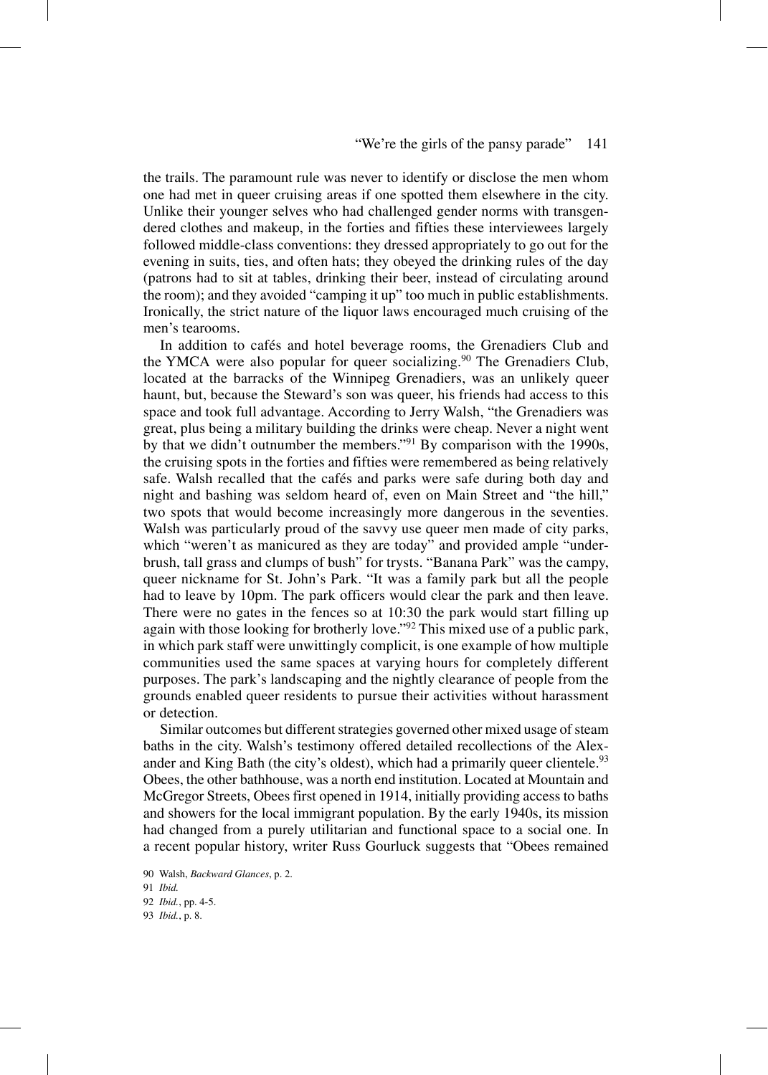the trails. The paramount rule was never to identify or disclose the men whom one had met in queer cruising areas if one spotted them elsewhere in the city. Unlike their younger selves who had challenged gender norms with transgendered clothes and makeup, in the forties and fifties these interviewees largely followed middle-class conventions: they dressed appropriately to go out for the evening in suits, ties, and often hats; they obeyed the drinking rules of the day (patrons had to sit at tables, drinking their beer, instead of circulating around the room); and they avoided "camping it up" too much in public establishments. Ironically, the strict nature of the liquor laws encouraged much cruising of the men's tearooms.

In addition to cafés and hotel beverage rooms, the Grenadiers Club and the YMCA were also popular for queer socializing.<sup>90</sup> The Grenadiers Club, located at the barracks of the Winnipeg Grenadiers, was an unlikely queer haunt, but, because the Steward's son was queer, his friends had access to this space and took full advantage. According to Jerry Walsh, "the Grenadiers was great, plus being a military building the drinks were cheap. Never a night went by that we didn't outnumber the members."91 By comparison with the 1990s, the cruising spots in the forties and fifties were remembered as being relatively safe. Walsh recalled that the cafés and parks were safe during both day and night and bashing was seldom heard of, even on Main Street and "the hill," two spots that would become increasingly more dangerous in the seventies. Walsh was particularly proud of the savvy use queer men made of city parks, which "weren't as manicured as they are today" and provided ample "underbrush, tall grass and clumps of bush" for trysts. "Banana Park" was the campy, queer nickname for St. John's Park. "It was a family park but all the people had to leave by 10pm. The park officers would clear the park and then leave. There were no gates in the fences so at 10:30 the park would start filling up again with those looking for brotherly love."92 This mixed use of a public park, in which park staff were unwittingly complicit, is one example of how multiple communities used the same spaces at varying hours for completely different purposes. The park's landscaping and the nightly clearance of people from the grounds enabled queer residents to pursue their activities without harassment or detection.

Similar outcomes but different strategies governed other mixed usage of steam baths in the city. Walsh's testimony offered detailed recollections of the Alexander and King Bath (the city's oldest), which had a primarily queer clientele.<sup>93</sup> Obees, the other bathhouse, was a north end institution. Located at Mountain and McGregor Streets, Obees first opened in 1914, initially providing access to baths and showers for the local immigrant population. By the early 1940s, its mission had changed from a purely utilitarian and functional space to a social one. In a recent popular history, writer Russ Gourluck suggests that "Obees remained

<sup>90</sup> Walsh, *Backward Glances*, p. 2.

<sup>91</sup> *Ibid.*

<sup>92</sup> *Ibid.*, pp. 4-5.

<sup>93</sup> *Ibid.*, p. 8.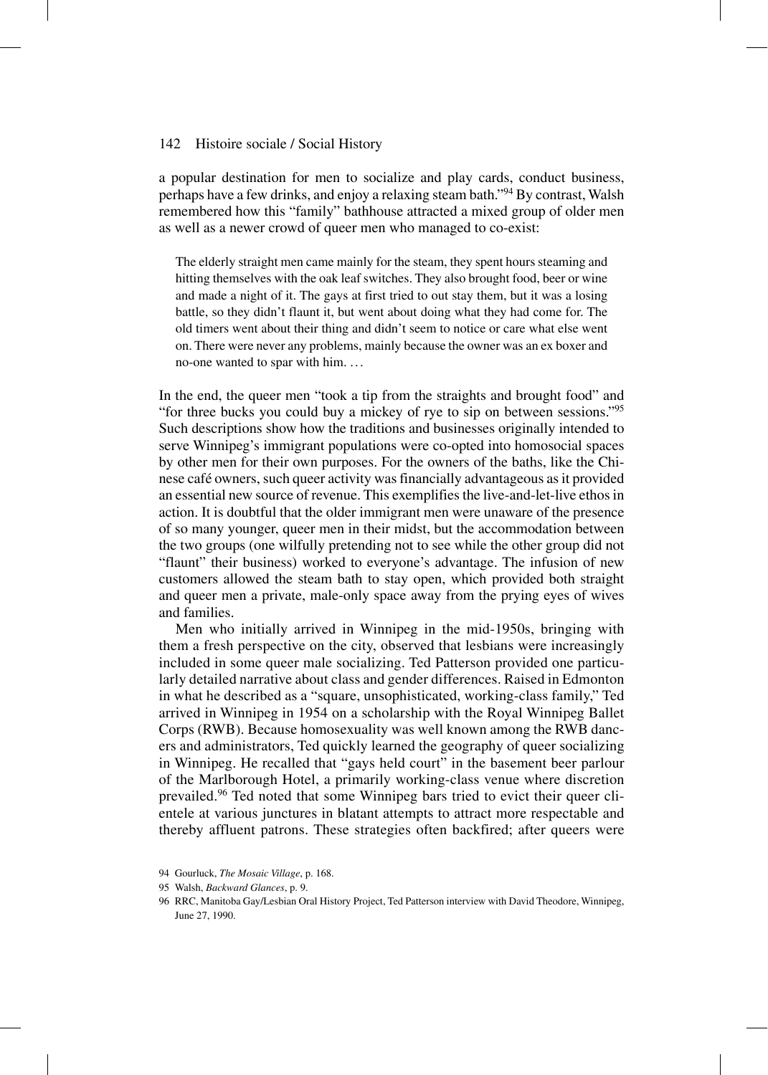a popular destination for men to socialize and play cards, conduct business, perhaps have a few drinks, and enjoy a relaxing steam bath."94 By contrast, Walsh remembered how this "family" bathhouse attracted a mixed group of older men as well as a newer crowd of queer men who managed to co-exist:

The elderly straight men came mainly for the steam, they spent hours steaming and hitting themselves with the oak leaf switches. They also brought food, beer or wine and made a night of it. The gays at first tried to out stay them, but it was a losing battle, so they didn't flaunt it, but went about doing what they had come for. The old timers went about their thing and didn't seem to notice or care what else went on. There were never any problems, mainly because the owner was an ex boxer and no-one wanted to spar with him...

In the end, the queer men "took a tip from the straights and brought food" and "for three bucks you could buy a mickey of rye to sip on between sessions."95 Such descriptions show how the traditions and businesses originally intended to serve Winnipeg's immigrant populations were co-opted into homosocial spaces by other men for their own purposes. For the owners of the baths, like the Chinese café owners, such queer activity was financially advantageous as it provided an essential new source of revenue. This exemplifies the live-and-let-live ethos in action. It is doubtful that the older immigrant men were unaware of the presence of so many younger, queer men in their midst, but the accommodation between the two groups (one wilfully pretending not to see while the other group did not "flaunt" their business) worked to everyone's advantage. The infusion of new customers allowed the steam bath to stay open, which provided both straight and queer men a private, male-only space away from the prying eyes of wives and families.

Men who initially arrived in Winnipeg in the mid-1950s, bringing with them a fresh perspective on the city, observed that lesbians were increasingly included in some queer male socializing. Ted Patterson provided one particularly detailed narrative about class and gender differences. Raised in Edmonton in what he described as a "square, unsophisticated, working-class family," Ted arrived in Winnipeg in 1954 on a scholarship with the Royal Winnipeg Ballet Corps (RWB). Because homosexuality was well known among the RWB dancers and administrators, Ted quickly learned the geography of queer socializing in Winnipeg. He recalled that "gays held court" in the basement beer parlour of the Marlborough Hotel, a primarily working-class venue where discretion prevailed.96 Ted noted that some Winnipeg bars tried to evict their queer clientele at various junctures in blatant attempts to attract more respectable and thereby affluent patrons. These strategies often backfired; after queers were

 <sup>94</sup> Gourluck, *The Mosaic Village*, p. 168.

 <sup>95</sup> Walsh, *Backward Glances*, p. 9.

 <sup>96</sup> RRC, Manitoba Gay/Lesbian Oral History Project, Ted Patterson interview with David Theodore, Winnipeg, June 27, 1990.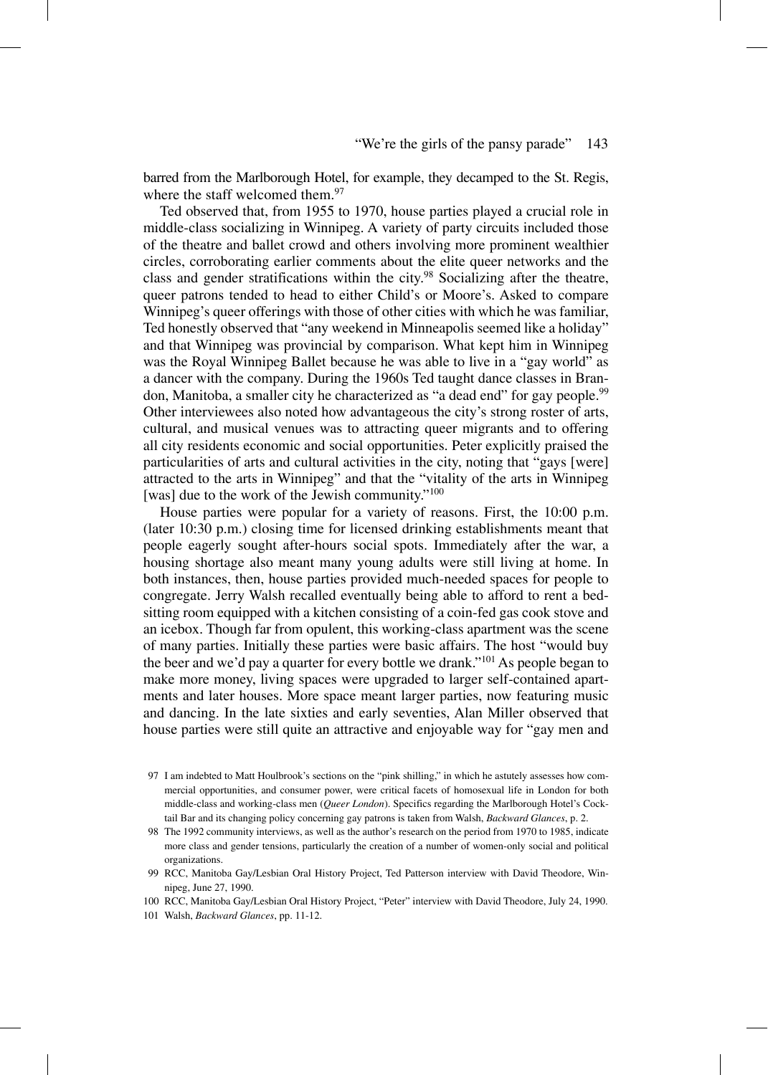barred from the Marlborough Hotel, for example, they decamped to the St. Regis, where the staff welcomed them.<sup>97</sup>

Ted observed that, from 1955 to 1970, house parties played a crucial role in middle-class socializing in Winnipeg. A variety of party circuits included those of the theatre and ballet crowd and others involving more prominent wealthier circles, corroborating earlier comments about the elite queer networks and the class and gender stratifications within the city.98 Socializing after the theatre, queer patrons tended to head to either Child's or Moore's. Asked to compare Winnipeg's queer offerings with those of other cities with which he was familiar, Ted honestly observed that "any weekend in Minneapolis seemed like a holiday" and that Winnipeg was provincial by comparison. What kept him in Winnipeg was the Royal Winnipeg Ballet because he was able to live in a "gay world" as a dancer with the company. During the 1960s Ted taught dance classes in Brandon, Manitoba, a smaller city he characterized as "a dead end" for gay people.<sup>99</sup> Other interviewees also noted how advantageous the city's strong roster of arts, cultural, and musical venues was to attracting queer migrants and to offering all city residents economic and social opportunities. Peter explicitly praised the particularities of arts and cultural activities in the city, noting that "gays [were] attracted to the arts in Winnipeg" and that the "vitality of the arts in Winnipeg [was] due to the work of the Jewish community."<sup>100</sup>

House parties were popular for a variety of reasons. First, the 10:00 p.m. (later 10:30 p.m.) closing time for licensed drinking establishments meant that people eagerly sought after-hours social spots. Immediately after the war, a housing shortage also meant many young adults were still living at home. In both instances, then, house parties provided much-needed spaces for people to congregate. Jerry Walsh recalled eventually being able to afford to rent a bedsitting room equipped with a kitchen consisting of a coin-fed gas cook stove and an icebox. Though far from opulent, this working-class apartment was the scene of many parties. Initially these parties were basic affairs. The host "would buy the beer and we'd pay a quarter for every bottle we drank."101 As people began to make more money, living spaces were upgraded to larger self-contained apartments and later houses. More space meant larger parties, now featuring music and dancing. In the late sixties and early seventies, Alan Miller observed that house parties were still quite an attractive and enjoyable way for "gay men and

- 97 I am indebted to Matt Houlbrook's sections on the "pink shilling," in which he astutely assesses how commercial opportunities, and consumer power, were critical facets of homosexual life in London for both middle-class and working-class men (*Queer London*). Specifics regarding the Marlborough Hotel's Cocktail Bar and its changing policy concerning gay patrons is taken from Walsh, *Backward Glances*, p. 2.
- 98 The 1992 community interviews, as well as the author's research on the period from 1970 to 1985, indicate more class and gender tensions, particularly the creation of a number of women-only social and political organizations.
- 99 RCC, Manitoba Gay/Lesbian Oral History Project, Ted Patterson interview with David Theodore, Winnipeg, June 27, 1990.
- 100 RCC, Manitoba Gay/Lesbian Oral History Project, "Peter" interview with David Theodore, July 24, 1990.
- 101 Walsh, *Backward Glances*, pp. 11-12.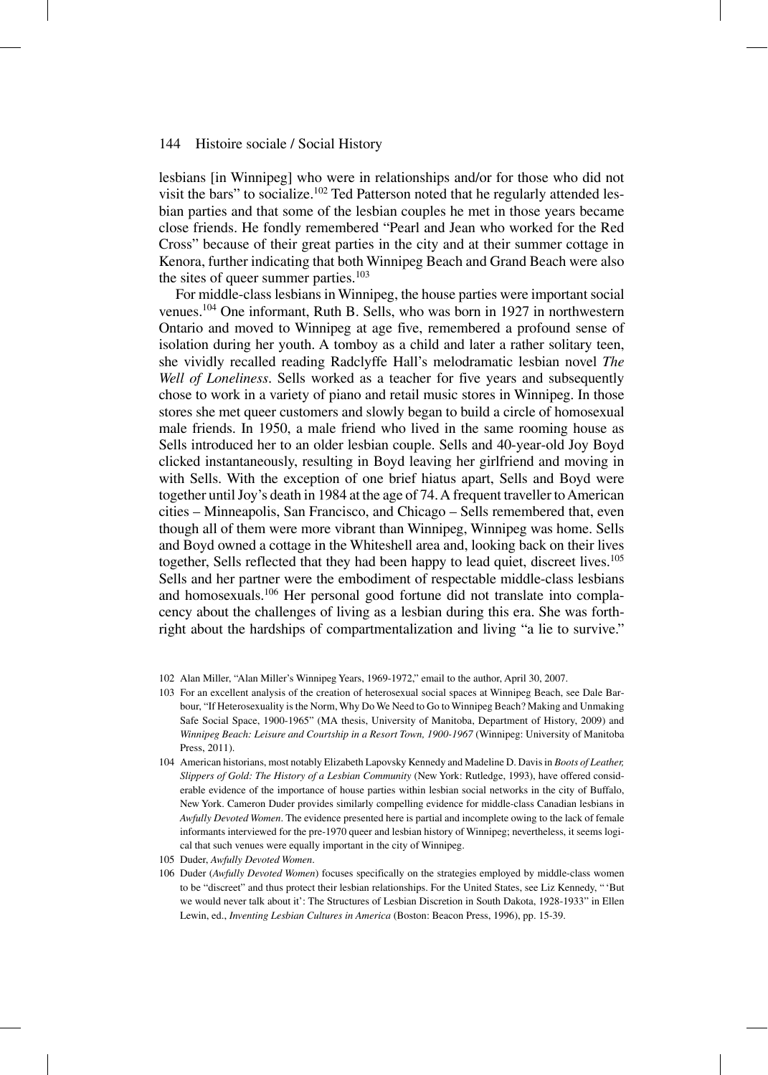lesbians [in Winnipeg] who were in relationships and/or for those who did not visit the bars" to socialize.<sup>102</sup> Ted Patterson noted that he regularly attended lesbian parties and that some of the lesbian couples he met in those years became close friends. He fondly remembered "Pearl and Jean who worked for the Red Cross" because of their great parties in the city and at their summer cottage in Kenora, further indicating that both Winnipeg Beach and Grand Beach were also the sites of queer summer parties.<sup>103</sup>

For middle-class lesbians in Winnipeg, the house parties were important social venues.104 One informant, Ruth B. Sells, who was born in 1927 in northwestern Ontario and moved to Winnipeg at age five, remembered a profound sense of isolation during her youth. A tomboy as a child and later a rather solitary teen, she vividly recalled reading Radclyffe Hall's melodramatic lesbian novel *The Well of Loneliness*. Sells worked as a teacher for five years and subsequently chose to work in a variety of piano and retail music stores in Winnipeg. In those stores she met queer customers and slowly began to build a circle of homosexual male friends. In 1950, a male friend who lived in the same rooming house as Sells introduced her to an older lesbian couple. Sells and 40-year-old Joy Boyd clicked instantaneously, resulting in Boyd leaving her girlfriend and moving in with Sells. With the exception of one brief hiatus apart, Sells and Boyd were together until Joy's death in 1984 at the age of 74. A frequent traveller to American cities – Minneapolis, San Francisco, and Chicago – Sells remembered that, even though all of them were more vibrant than Winnipeg, Winnipeg was home. Sells and Boyd owned a cottage in the Whiteshell area and, looking back on their lives together, Sells reflected that they had been happy to lead quiet, discreet lives.<sup>105</sup> Sells and her partner were the embodiment of respectable middle-class lesbians and homosexuals.106 Her personal good fortune did not translate into complacency about the challenges of living as a lesbian during this era. She was forthright about the hardships of compartmentalization and living "a lie to survive."

104 American historians, most notably Elizabeth Lapovsky Kennedy and Madeline D. Davis in *Boots of Leather, Slippers of Gold: The History of a Lesbian Community* (New York: Rutledge, 1993), have offered considerable evidence of the importance of house parties within lesbian social networks in the city of Buffalo, New York. Cameron Duder provides similarly compelling evidence for middle-class Canadian lesbians in *Awfully Devoted Women*. The evidence presented here is partial and incomplete owing to the lack of female informants interviewed for the pre-1970 queer and lesbian history of Winnipeg; nevertheless, it seems logical that such venues were equally important in the city of Winnipeg.

106 Duder (*Awfully Devoted Women*) focuses specifically on the strategies employed by middle-class women to be "discreet" and thus protect their lesbian relationships. For the United States, see Liz Kennedy, " 'But we would never talk about it': The Structures of Lesbian Discretion in South Dakota, 1928-1933" in Ellen Lewin, ed., *Inventing Lesbian Cultures in America* (Boston: Beacon Press, 1996), pp. 15-39.

<sup>102</sup> Alan Miller, "Alan Miller's Winnipeg Years, 1969-1972," email to the author, April 30, 2007.

<sup>103</sup> For an excellent analysis of the creation of heterosexual social spaces at Winnipeg Beach, see Dale Barbour, "If Heterosexuality is the Norm, Why Do We Need to Go to Winnipeg Beach? Making and Unmaking Safe Social Space, 1900-1965" (MA thesis, University of Manitoba, Department of History, 2009) and *Winnipeg Beach: Leisure and Courtship in a Resort Town, 1900-1967* (Winnipeg: University of Manitoba Press, 2011).

<sup>105</sup> Duder, *Awfully Devoted Women*.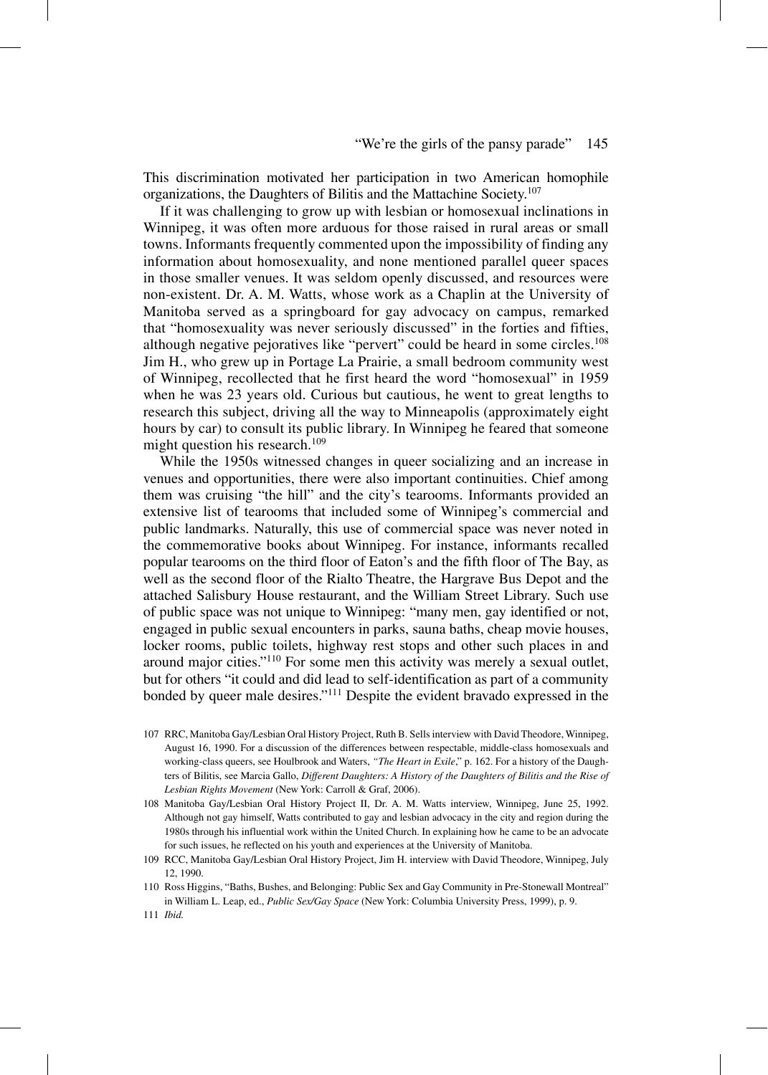This discrimination motivated her participation in two American homophile organizations, the Daughters of Bilitis and the Mattachine Society.107

If it was challenging to grow up with lesbian or homosexual inclinations in Winnipeg, it was often more arduous for those raised in rural areas or small towns. Informants frequently commented upon the impossibility of finding any information about homosexuality, and none mentioned parallel queer spaces in those smaller venues. It was seldom openly discussed, and resources were non-existent. Dr. A. M. Watts, whose work as a Chaplin at the University of Manitoba served as a springboard for gay advocacy on campus, remarked that "homosexuality was never seriously discussed" in the forties and fifties, although negative pejoratives like "pervert" could be heard in some circles.<sup>108</sup> Jim H., who grew up in Portage La Prairie, a small bedroom community west of Winnipeg, recollected that he first heard the word "homosexual" in 1959 when he was 23 years old. Curious but cautious, he went to great lengths to research this subject, driving all the way to Minneapolis (approximately eight hours by car) to consult its public library. In Winnipeg he feared that someone might question his research.<sup>109</sup>

While the 1950s witnessed changes in queer socializing and an increase in venues and opportunities, there were also important continuities. Chief among them was cruising "the hill" and the city's tearooms. Informants provided an extensive list of tearooms that included some of Winnipeg's commercial and public landmarks. Naturally, this use of commercial space was never noted in the commemorative books about Winnipeg. For instance, informants recalled popular tearooms on the third floor of Eaton's and the fifth floor of The Bay, as well as the second floor of the Rialto Theatre, the Hargrave Bus Depot and the attached Salisbury House restaurant, and the William Street Library. Such use of public space was not unique to Winnipeg: "many men, gay identified or not, engaged in public sexual encounters in parks, sauna baths, cheap movie houses, locker rooms, public toilets, highway rest stops and other such places in and around major cities."110 For some men this activity was merely a sexual outlet, but for others "it could and did lead to self-identification as part of a community bonded by queer male desires."111 Despite the evident bravado expressed in the

- 107 RRC, Manitoba Gay/Lesbian Oral History Project, Ruth B. Sells interview with David Theodore, Winnipeg, August 16, 1990. For a discussion of the differences between respectable, middle-class homosexuals and working-class queers, see Houlbrook and Waters, *"The Heart in Exile*," p. 162. For a history of the Daughters of Bilitis, see Marcia Gallo, *Different Daughters: A History of the Daughters of Bilitis and the Rise of Lesbian Rights Movement* (New York: Carroll & Graf, 2006).
- 108 Manitoba Gay/Lesbian Oral History Project II, Dr. A. M. Watts interview, Winnipeg, June 25, 1992. Although not gay himself, Watts contributed to gay and lesbian advocacy in the city and region during the 1980s through his influential work within the United Church. In explaining how he came to be an advocate for such issues, he reflected on his youth and experiences at the University of Manitoba.
- 109 RCC, Manitoba Gay/Lesbian Oral History Project, Jim H. interview with David Theodore, Winnipeg, July 12, 1990.
- 110 Ross Higgins, "Baths, Bushes, and Belonging: Public Sex and Gay Community in Pre-Stonewall Montreal" in William L. Leap, ed., *Public Sex/Gay Space* (New York: Columbia University Press, 1999), p. 9.

<sup>111</sup> *Ibid.*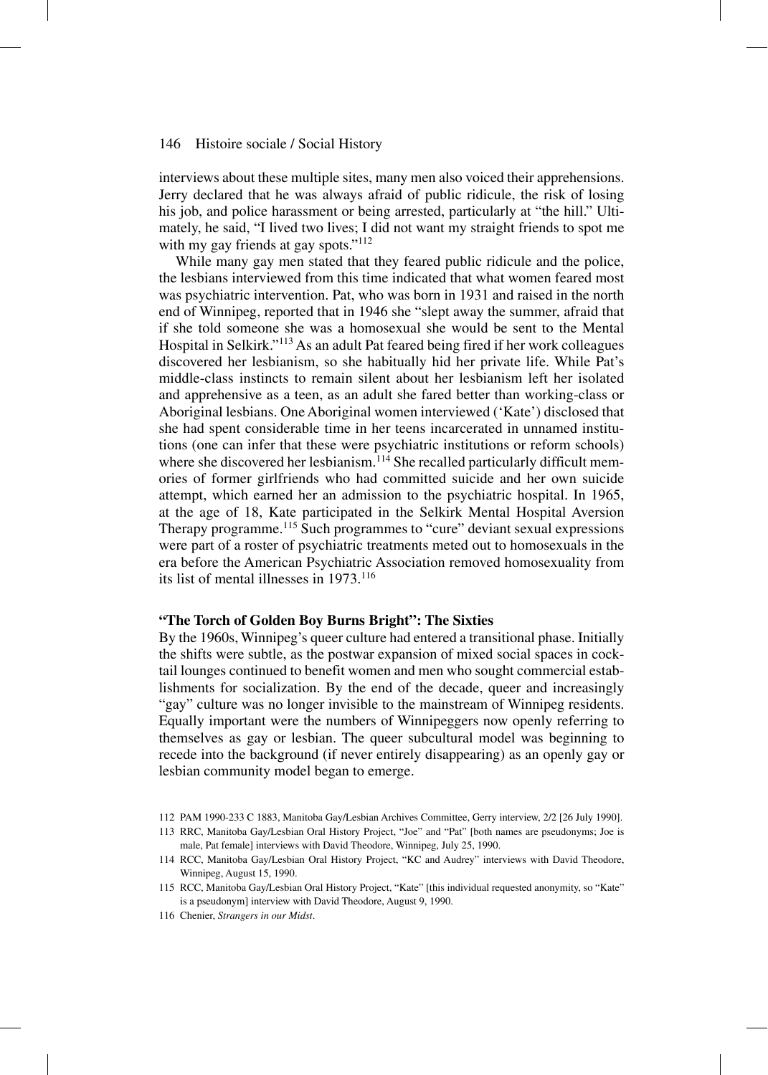interviews about these multiple sites, many men also voiced their apprehensions. Jerry declared that he was always afraid of public ridicule, the risk of losing his job, and police harassment or being arrested, particularly at "the hill." Ultimately, he said, "I lived two lives; I did not want my straight friends to spot me with my gay friends at gay spots."<sup>112</sup>

While many gay men stated that they feared public ridicule and the police, the lesbians interviewed from this time indicated that what women feared most was psychiatric intervention. Pat, who was born in 1931 and raised in the north end of Winnipeg, reported that in 1946 she "slept away the summer, afraid that if she told someone she was a homosexual she would be sent to the Mental Hospital in Selkirk."113 As an adult Pat feared being fired if her work colleagues discovered her lesbianism, so she habitually hid her private life. While Pat's middle-class instincts to remain silent about her lesbianism left her isolated and apprehensive as a teen, as an adult she fared better than working-class or Aboriginal lesbians. One Aboriginal women interviewed ('Kate') disclosed that she had spent considerable time in her teens incarcerated in unnamed institutions (one can infer that these were psychiatric institutions or reform schools) where she discovered her lesbianism. $114$  She recalled particularly difficult memories of former girlfriends who had committed suicide and her own suicide attempt, which earned her an admission to the psychiatric hospital. In 1965, at the age of 18, Kate participated in the Selkirk Mental Hospital Aversion Therapy programme.<sup>115</sup> Such programmes to "cure" deviant sexual expressions were part of a roster of psychiatric treatments meted out to homosexuals in the era before the American Psychiatric Association removed homosexuality from its list of mental illnesses in 1973.<sup>116</sup>

#### **"The Torch of Golden Boy Burns Bright": The Sixties**

By the 1960s, Winnipeg's queer culture had entered a transitional phase. Initially the shifts were subtle, as the postwar expansion of mixed social spaces in cocktail lounges continued to benefit women and men who sought commercial establishments for socialization. By the end of the decade, queer and increasingly "gay" culture was no longer invisible to the mainstream of Winnipeg residents. Equally important were the numbers of Winnipeggers now openly referring to themselves as gay or lesbian. The queer subcultural model was beginning to recede into the background (if never entirely disappearing) as an openly gay or lesbian community model began to emerge.

<sup>112</sup> PAM 1990-233 C 1883, Manitoba Gay/Lesbian Archives Committee, Gerry interview, 2/2 [26 July 1990].

<sup>113</sup> RRC, Manitoba Gay/Lesbian Oral History Project, "Joe" and "Pat" [both names are pseudonyms; Joe is male, Pat female] interviews with David Theodore, Winnipeg, July 25, 1990.

<sup>114</sup> RCC, Manitoba Gay/Lesbian Oral History Project, "KC and Audrey" interviews with David Theodore, Winnipeg, August 15, 1990.

<sup>115</sup> RCC, Manitoba Gay/Lesbian Oral History Project, "Kate" [this individual requested anonymity, so "Kate" is a pseudonym] interview with David Theodore, August 9, 1990.

<sup>116</sup> Chenier, *Strangers in our Midst*.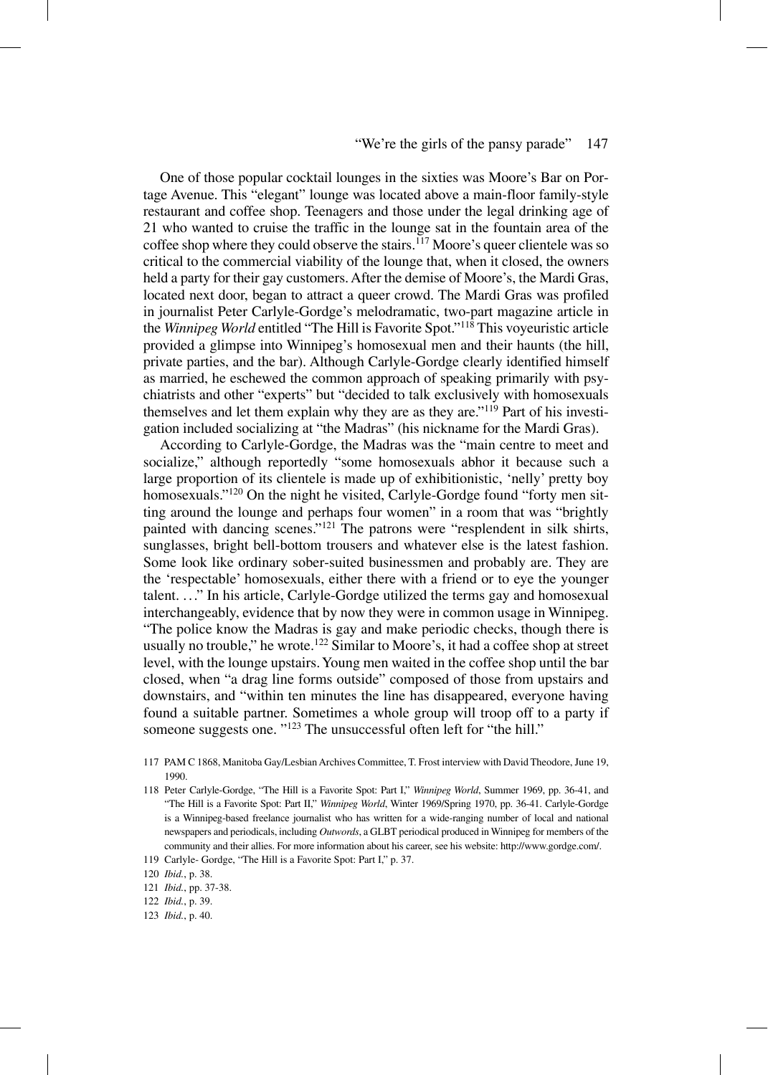One of those popular cocktail lounges in the sixties was Moore's Bar on Portage Avenue. This "elegant" lounge was located above a main-floor family-style restaurant and coffee shop. Teenagers and those under the legal drinking age of 21 who wanted to cruise the traffic in the lounge sat in the fountain area of the coffee shop where they could observe the stairs.<sup> $117$ </sup> Moore's queer clientele was so critical to the commercial viability of the lounge that, when it closed, the owners held a party for their gay customers. After the demise of Moore's, the Mardi Gras, located next door, began to attract a queer crowd. The Mardi Gras was profiled in journalist Peter Carlyle-Gordge's melodramatic, two-part magazine article in the *Winnipeg World* entitled "The Hill is Favorite Spot."118 This voyeuristic article provided a glimpse into Winnipeg's homosexual men and their haunts (the hill, private parties, and the bar). Although Carlyle-Gordge clearly identified himself as married, he eschewed the common approach of speaking primarily with psychiatrists and other "experts" but "decided to talk exclusively with homosexuals themselves and let them explain why they are as they are."119 Part of his investigation included socializing at "the Madras" (his nickname for the Mardi Gras).

According to Carlyle-Gordge, the Madras was the "main centre to meet and socialize," although reportedly "some homosexuals abhor it because such a large proportion of its clientele is made up of exhibitionistic, 'nelly' pretty boy homosexuals."<sup>120</sup> On the night he visited, Carlyle-Gordge found "forty men sitting around the lounge and perhaps four women" in a room that was "brightly painted with dancing scenes."121 The patrons were "resplendent in silk shirts, sunglasses, bright bell-bottom trousers and whatever else is the latest fashion. Some look like ordinary sober-suited businessmen and probably are. They are the 'respectable' homosexuals, either there with a friend or to eye the younger talent. . . ." In his article, Carlyle-Gordge utilized the terms gay and homosexual interchangeably, evidence that by now they were in common usage in Winnipeg. "The police know the Madras is gay and make periodic checks, though there is usually no trouble," he wrote.<sup>122</sup> Similar to Moore's, it had a coffee shop at street level, with the lounge upstairs. Young men waited in the coffee shop until the bar closed, when "a drag line forms outside" composed of those from upstairs and downstairs, and "within ten minutes the line has disappeared, everyone having found a suitable partner. Sometimes a whole group will troop off to a party if someone suggests one. "<sup>123</sup> The unsuccessful often left for "the hill."

- 117 PAM C 1868, Manitoba Gay/Lesbian Archives Committee, T. Frost interview with David Theodore, June 19, 1990.
- 118 Peter Carlyle-Gordge, "The Hill is a Favorite Spot: Part I," *Winnipeg World*, Summer 1969, pp. 36-41, and "The Hill is a Favorite Spot: Part II," *Winnipeg World*, Winter 1969/Spring 1970, pp. 36-41. Carlyle-Gordge is a Winnipeg-based freelance journalist who has written for a wide-ranging number of local and national newspapers and periodicals, including *Outwords*, a GLBT periodical produced in Winnipeg for members of the community and their allies. For more information about his career, see his website: http://www.gordge.com/.
- 119 Carlyle- Gordge, "The Hill is a Favorite Spot: Part I," p. 37.

123 *Ibid.*, p. 40.

<sup>120</sup> *Ibid.*, p. 38.

<sup>121</sup> *Ibid.*, pp. 37-38.

<sup>122</sup> *Ibid.*, p. 39.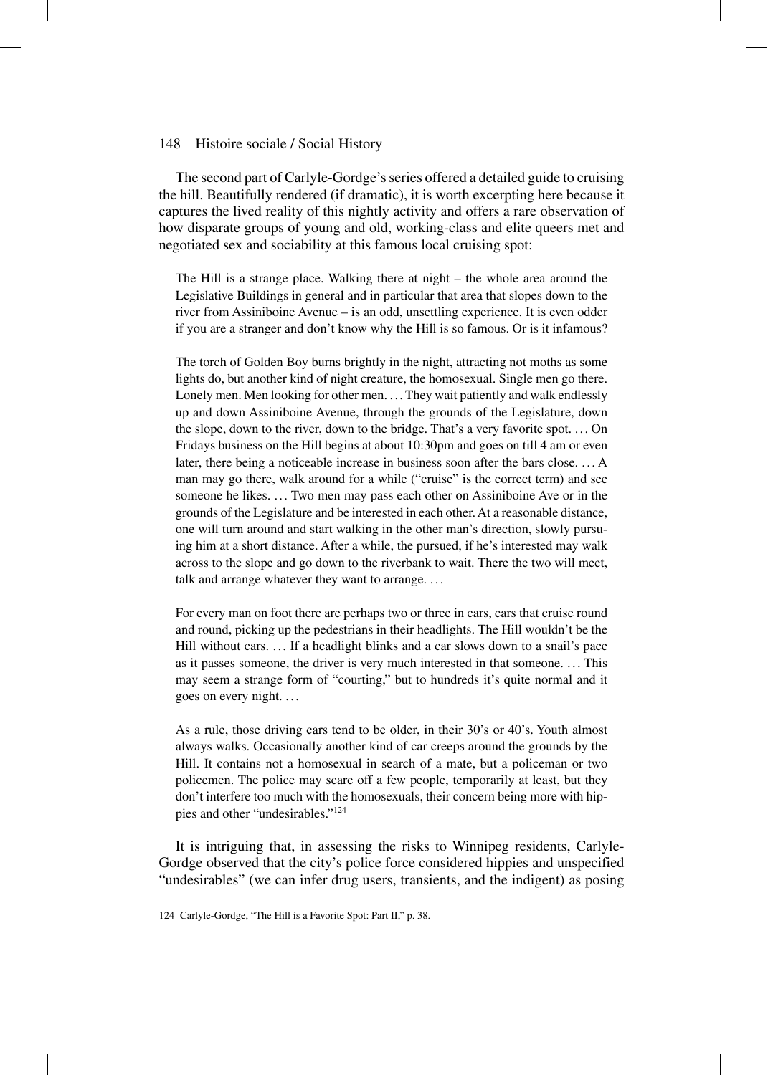The second part of Carlyle-Gordge's series offered a detailed guide to cruising the hill. Beautifully rendered (if dramatic), it is worth excerpting here because it captures the lived reality of this nightly activity and offers a rare observation of how disparate groups of young and old, working-class and elite queers met and negotiated sex and sociability at this famous local cruising spot:

The Hill is a strange place. Walking there at night – the whole area around the Legislative Buildings in general and in particular that area that slopes down to the river from Assiniboine Avenue – is an odd, unsettling experience. It is even odder if you are a stranger and don't know why the Hill is so famous. Or is it infamous?

The torch of Golden Boy burns brightly in the night, attracting not moths as some lights do, but another kind of night creature, the homosexual. Single men go there. Lonely men. Men looking for other men. . . . They wait patiently and walk endlessly up and down Assiniboine Avenue, through the grounds of the Legislature, down the slope, down to the river, down to the bridge. That's a very favorite spot. . . . On Fridays business on the Hill begins at about 10:30pm and goes on till 4 am or even later, there being a noticeable increase in business soon after the bars close. . . . A man may go there, walk around for a while ("cruise" is the correct term) and see someone he likes. ... Two men may pass each other on Assiniboine Ave or in the grounds of the Legislature and be interested in each other. At a reasonable distance, one will turn around and start walking in the other man's direction, slowly pursuing him at a short distance. After a while, the pursued, if he's interested may walk across to the slope and go down to the riverbank to wait. There the two will meet, talk and arrange whatever they want to arrange....

For every man on foot there are perhaps two or three in cars, cars that cruise round and round, picking up the pedestrians in their headlights. The Hill wouldn't be the Hill without cars. ... If a headlight blinks and a car slows down to a snail's pace as it passes someone, the driver is very much interested in that someone. . . . This may seem a strange form of "courting," but to hundreds it's quite normal and it goes on every night...

As a rule, those driving cars tend to be older, in their 30's or 40's. Youth almost always walks. Occasionally another kind of car creeps around the grounds by the Hill. It contains not a homosexual in search of a mate, but a policeman or two policemen. The police may scare off a few people, temporarily at least, but they don't interfere too much with the homosexuals, their concern being more with hippies and other "undesirables."124

It is intriguing that, in assessing the risks to Winnipeg residents, Carlyle-Gordge observed that the city's police force considered hippies and unspecified "undesirables" (we can infer drug users, transients, and the indigent) as posing

<sup>124</sup> Carlyle-Gordge, "The Hill is a Favorite Spot: Part II," p. 38.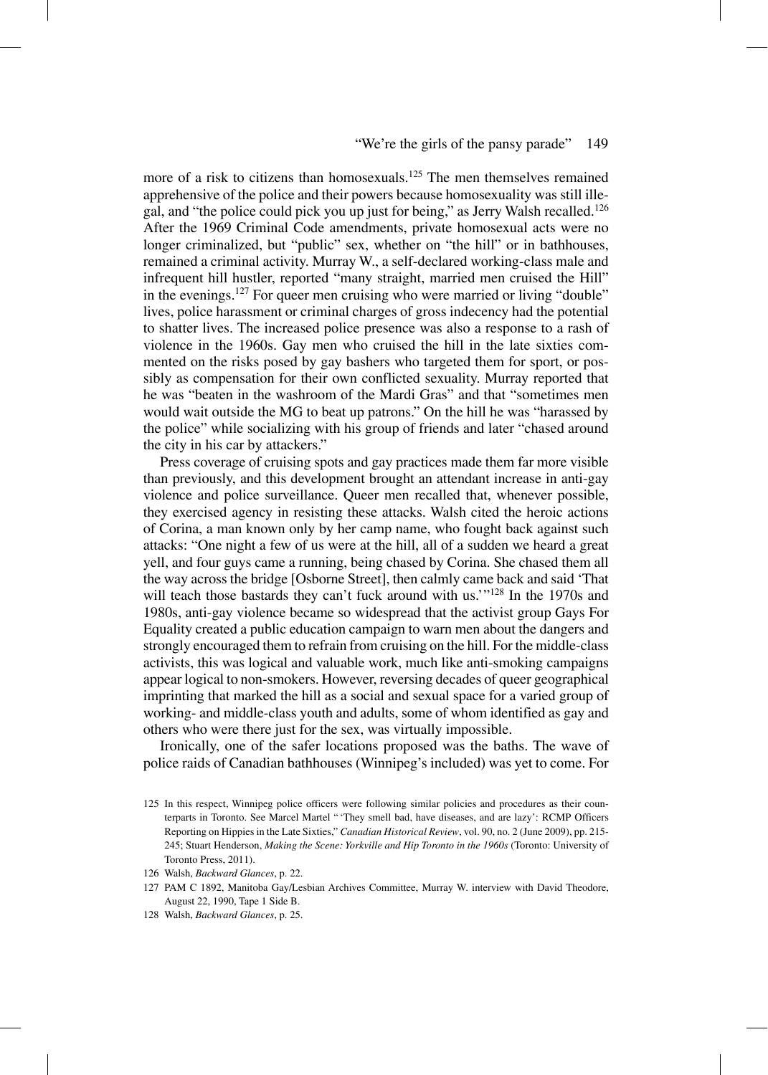more of a risk to citizens than homosexuals.<sup>125</sup> The men themselves remained apprehensive of the police and their powers because homosexuality was still illegal, and "the police could pick you up just for being," as Jerry Walsh recalled.126 After the 1969 Criminal Code amendments, private homosexual acts were no longer criminalized, but "public" sex, whether on "the hill" or in bathhouses, remained a criminal activity. Murray W., a self-declared working-class male and infrequent hill hustler, reported "many straight, married men cruised the Hill" in the evenings.127 For queer men cruising who were married or living "double" lives, police harassment or criminal charges of gross indecency had the potential to shatter lives. The increased police presence was also a response to a rash of violence in the 1960s. Gay men who cruised the hill in the late sixties commented on the risks posed by gay bashers who targeted them for sport, or possibly as compensation for their own conflicted sexuality. Murray reported that he was "beaten in the washroom of the Mardi Gras" and that "sometimes men would wait outside the MG to beat up patrons." On the hill he was "harassed by the police" while socializing with his group of friends and later "chased around the city in his car by attackers."

Press coverage of cruising spots and gay practices made them far more visible than previously, and this development brought an attendant increase in anti-gay violence and police surveillance. Queer men recalled that, whenever possible, they exercised agency in resisting these attacks. Walsh cited the heroic actions of Corina, a man known only by her camp name, who fought back against such attacks: "One night a few of us were at the hill, all of a sudden we heard a great yell, and four guys came a running, being chased by Corina. She chased them all the way across the bridge [Osborne Street], then calmly came back and said 'That will teach those bastards they can't fuck around with us.'"<sup>128</sup> In the 1970s and 1980s, anti-gay violence became so widespread that the activist group Gays For Equality created a public education campaign to warn men about the dangers and strongly encouraged them to refrain from cruising on the hill. For the middle-class activists, this was logical and valuable work, much like anti-smoking campaigns appear logical to non-smokers. However, reversing decades of queer geographical imprinting that marked the hill as a social and sexual space for a varied group of working- and middle-class youth and adults, some of whom identified as gay and others who were there just for the sex, was virtually impossible.

Ironically, one of the safer locations proposed was the baths. The wave of police raids of Canadian bathhouses (Winnipeg's included) was yet to come. For

<sup>125</sup> In this respect, Winnipeg police officers were following similar policies and procedures as their counterparts in Toronto. See Marcel Martel " 'They smell bad, have diseases, and are lazy': RCMP Officers Reporting on Hippies in the Late Sixties," *Canadian Historical Review*, vol. 90, no. 2 (June 2009), pp. 215- 245; Stuart Henderson, *Making the Scene: Yorkville and Hip Toronto in the 1960s* (Toronto: University of Toronto Press, 2011).

<sup>126</sup> Walsh, *Backward Glances*, p. 22.

<sup>127</sup> PAM C 1892, Manitoba Gay/Lesbian Archives Committee, Murray W. interview with David Theodore, August 22, 1990, Tape 1 Side B.

<sup>128</sup> Walsh, *Backward Glances*, p. 25.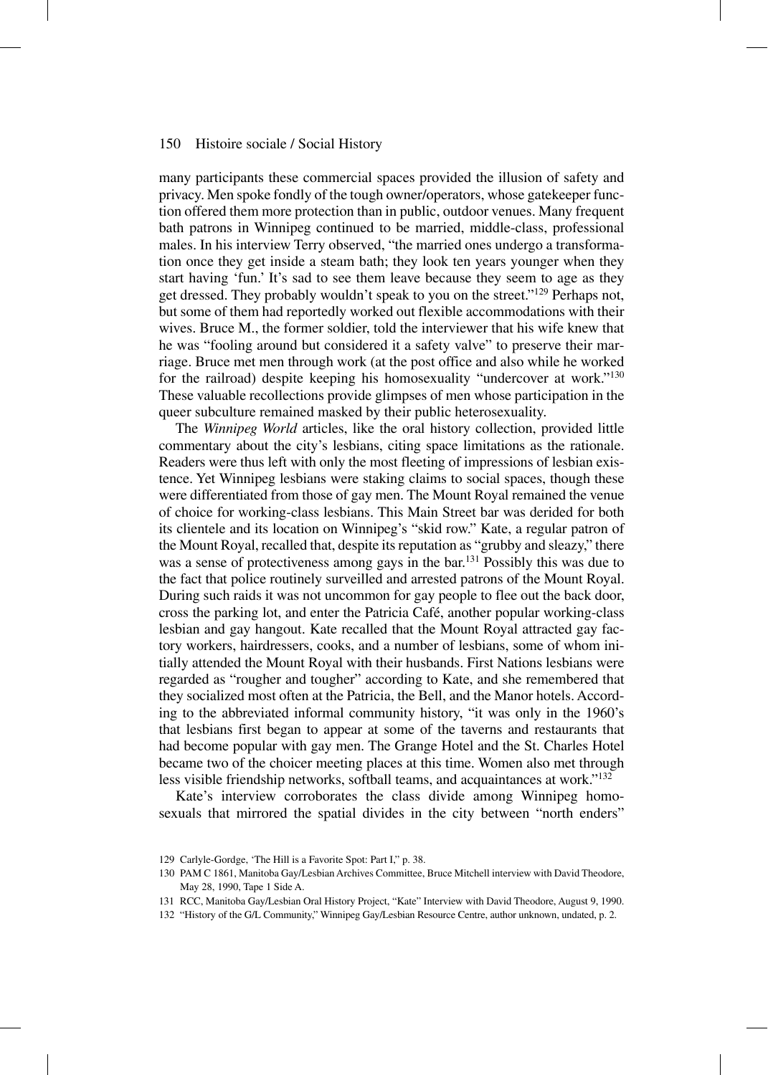many participants these commercial spaces provided the illusion of safety and privacy. Men spoke fondly of the tough owner/operators, whose gatekeeper function offered them more protection than in public, outdoor venues. Many frequent bath patrons in Winnipeg continued to be married, middle-class, professional males. In his interview Terry observed, "the married ones undergo a transformation once they get inside a steam bath; they look ten years younger when they start having 'fun.' It's sad to see them leave because they seem to age as they get dressed. They probably wouldn't speak to you on the street."129 Perhaps not, but some of them had reportedly worked out flexible accommodations with their wives. Bruce M., the former soldier, told the interviewer that his wife knew that he was "fooling around but considered it a safety valve" to preserve their marriage. Bruce met men through work (at the post office and also while he worked for the railroad) despite keeping his homosexuality "undercover at work."130 These valuable recollections provide glimpses of men whose participation in the queer subculture remained masked by their public heterosexuality.

The *Winnipeg World* articles, like the oral history collection, provided little commentary about the city's lesbians, citing space limitations as the rationale. Readers were thus left with only the most fleeting of impressions of lesbian existence. Yet Winnipeg lesbians were staking claims to social spaces, though these were differentiated from those of gay men. The Mount Royal remained the venue of choice for working-class lesbians. This Main Street bar was derided for both its clientele and its location on Winnipeg's "skid row." Kate, a regular patron of the Mount Royal, recalled that, despite its reputation as "grubby and sleazy," there was a sense of protectiveness among gays in the bar.<sup>131</sup> Possibly this was due to the fact that police routinely surveilled and arrested patrons of the Mount Royal. During such raids it was not uncommon for gay people to flee out the back door, cross the parking lot, and enter the Patricia Café, another popular working-class lesbian and gay hangout. Kate recalled that the Mount Royal attracted gay factory workers, hairdressers, cooks, and a number of lesbians, some of whom initially attended the Mount Royal with their husbands. First Nations lesbians were regarded as "rougher and tougher" according to Kate, and she remembered that they socialized most often at the Patricia, the Bell, and the Manor hotels. According to the abbreviated informal community history, "it was only in the 1960's that lesbians first began to appear at some of the taverns and restaurants that had become popular with gay men. The Grange Hotel and the St. Charles Hotel became two of the choicer meeting places at this time. Women also met through less visible friendship networks, softball teams, and acquaintances at work."132

Kate's interview corroborates the class divide among Winnipeg homosexuals that mirrored the spatial divides in the city between "north enders"

<sup>129</sup> Carlyle-Gordge, 'The Hill is a Favorite Spot: Part I," p. 38.

<sup>130</sup> PAM C 1861, Manitoba Gay/Lesbian Archives Committee, Bruce Mitchell interview with David Theodore, May 28, 1990, Tape 1 Side A.

<sup>131</sup> RCC, Manitoba Gay/Lesbian Oral History Project, "Kate" Interview with David Theodore, August 9, 1990.

<sup>132 &</sup>quot;History of the G/L Community," Winnipeg Gay/Lesbian Resource Centre, author unknown, undated, p. 2.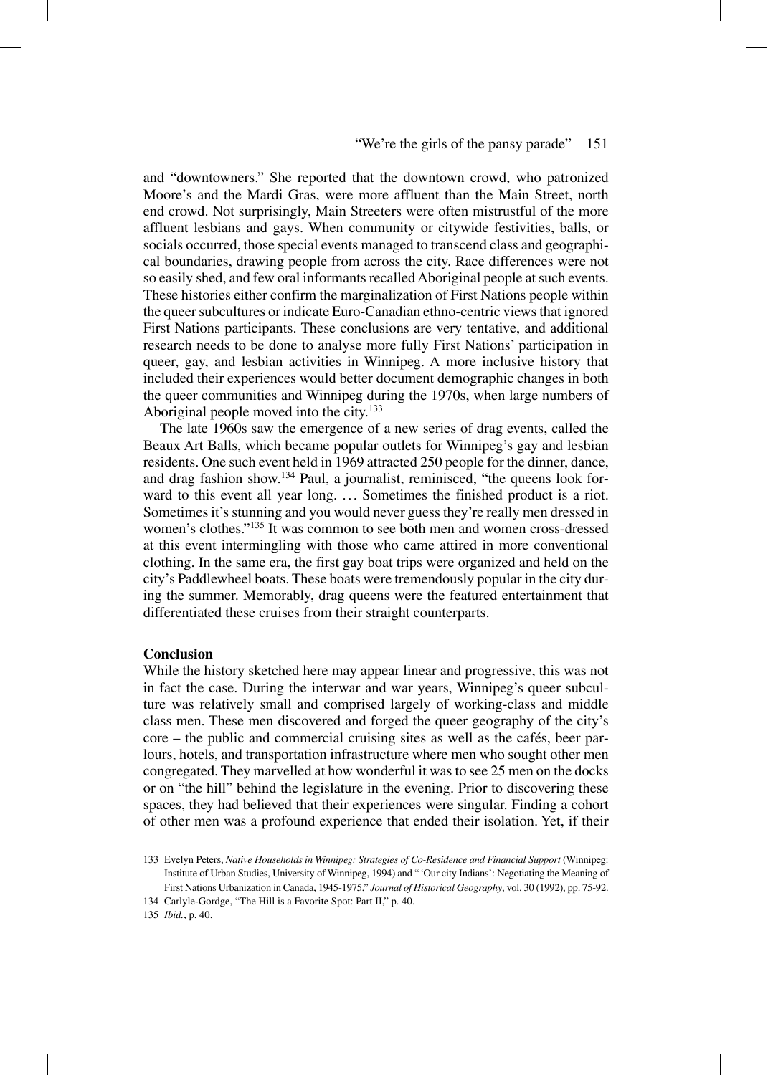and "downtowners." She reported that the downtown crowd, who patronized Moore's and the Mardi Gras, were more affluent than the Main Street, north end crowd. Not surprisingly, Main Streeters were often mistrustful of the more affluent lesbians and gays. When community or citywide festivities, balls, or socials occurred, those special events managed to transcend class and geographical boundaries, drawing people from across the city. Race differences were not so easily shed, and few oral informants recalled Aboriginal people at such events. These histories either confirm the marginalization of First Nations people within the queer subcultures or indicate Euro-Canadian ethno-centric views that ignored First Nations participants. These conclusions are very tentative, and additional research needs to be done to analyse more fully First Nations' participation in queer, gay, and lesbian activities in Winnipeg. A more inclusive history that included their experiences would better document demographic changes in both the queer communities and Winnipeg during the 1970s, when large numbers of Aboriginal people moved into the city.<sup>133</sup>

The late 1960s saw the emergence of a new series of drag events, called the Beaux Art Balls, which became popular outlets for Winnipeg's gay and lesbian residents. One such event held in 1969 attracted 250 people for the dinner, dance, and drag fashion show.134 Paul, a journalist, reminisced, "the queens look forward to this event all year long. ... Sometimes the finished product is a riot. Sometimes it's stunning and you would never guess they're really men dressed in women's clothes."135 It was common to see both men and women cross-dressed at this event intermingling with those who came attired in more conventional clothing. In the same era, the first gay boat trips were organized and held on the city's Paddlewheel boats. These boats were tremendously popular in the city during the summer. Memorably, drag queens were the featured entertainment that differentiated these cruises from their straight counterparts.

#### **Conclusion**

While the history sketched here may appear linear and progressive, this was not in fact the case. During the interwar and war years, Winnipeg's queer subculture was relatively small and comprised largely of working-class and middle class men. These men discovered and forged the queer geography of the city's core – the public and commercial cruising sites as well as the cafés, beer parlours, hotels, and transportation infrastructure where men who sought other men congregated. They marvelled at how wonderful it was to see 25 men on the docks or on "the hill" behind the legislature in the evening. Prior to discovering these spaces, they had believed that their experiences were singular. Finding a cohort of other men was a profound experience that ended their isolation. Yet, if their

135 *Ibid.*, p. 40.

<sup>133</sup> Evelyn Peters, *Native Households in Winnipeg: Strategies of Co-Residence and Financial Support* (Winnipeg: Institute of Urban Studies, University of Winnipeg, 1994) and " 'Our city Indians': Negotiating the Meaning of First Nations Urbanization in Canada, 1945-1975," *Journal of Historical Geography*, vol. 30 (1992), pp. 75-92.

<sup>134</sup> Carlyle-Gordge, "The Hill is a Favorite Spot: Part II," p. 40.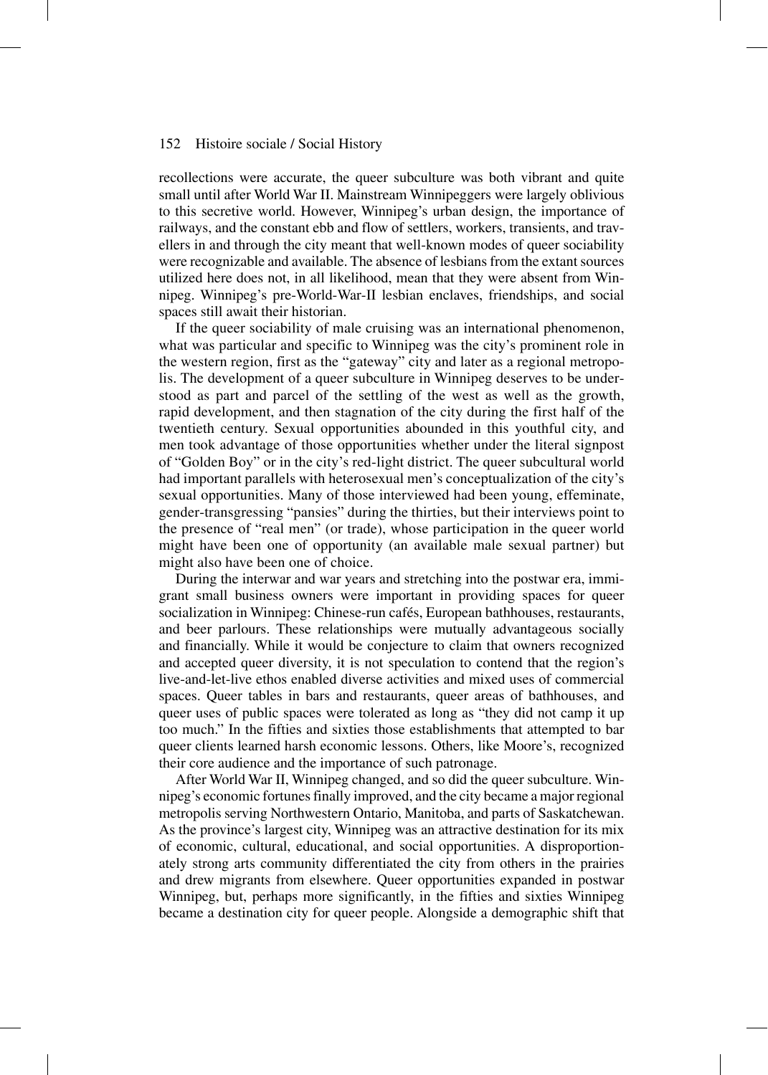recollections were accurate, the queer subculture was both vibrant and quite small until after World War II. Mainstream Winnipeggers were largely oblivious to this secretive world. However, Winnipeg's urban design, the importance of railways, and the constant ebb and flow of settlers, workers, transients, and travellers in and through the city meant that well-known modes of queer sociability were recognizable and available. The absence of lesbians from the extant sources utilized here does not, in all likelihood, mean that they were absent from Winnipeg. Winnipeg's pre-World-War-II lesbian enclaves, friendships, and social spaces still await their historian.

If the queer sociability of male cruising was an international phenomenon, what was particular and specific to Winnipeg was the city's prominent role in the western region, first as the "gateway" city and later as a regional metropolis. The development of a queer subculture in Winnipeg deserves to be understood as part and parcel of the settling of the west as well as the growth, rapid development, and then stagnation of the city during the first half of the twentieth century. Sexual opportunities abounded in this youthful city, and men took advantage of those opportunities whether under the literal signpost of "Golden Boy" or in the city's red-light district. The queer subcultural world had important parallels with heterosexual men's conceptualization of the city's sexual opportunities. Many of those interviewed had been young, effeminate, gender-transgressing "pansies" during the thirties, but their interviews point to the presence of "real men" (or trade), whose participation in the queer world might have been one of opportunity (an available male sexual partner) but might also have been one of choice.

During the interwar and war years and stretching into the postwar era, immigrant small business owners were important in providing spaces for queer socialization in Winnipeg: Chinese-run cafés, European bathhouses, restaurants, and beer parlours. These relationships were mutually advantageous socially and financially. While it would be conjecture to claim that owners recognized and accepted queer diversity, it is not speculation to contend that the region's live-and-let-live ethos enabled diverse activities and mixed uses of commercial spaces. Queer tables in bars and restaurants, queer areas of bathhouses, and queer uses of public spaces were tolerated as long as "they did not camp it up too much." In the fifties and sixties those establishments that attempted to bar queer clients learned harsh economic lessons. Others, like Moore's, recognized their core audience and the importance of such patronage.

After World War II, Winnipeg changed, and so did the queer subculture. Winnipeg's economic fortunes finally improved, and the city became a major regional metropolis serving Northwestern Ontario, Manitoba, and parts of Saskatchewan. As the province's largest city, Winnipeg was an attractive destination for its mix of economic, cultural, educational, and social opportunities. A disproportionately strong arts community differentiated the city from others in the prairies and drew migrants from elsewhere. Queer opportunities expanded in postwar Winnipeg, but, perhaps more significantly, in the fifties and sixties Winnipeg became a destination city for queer people. Alongside a demographic shift that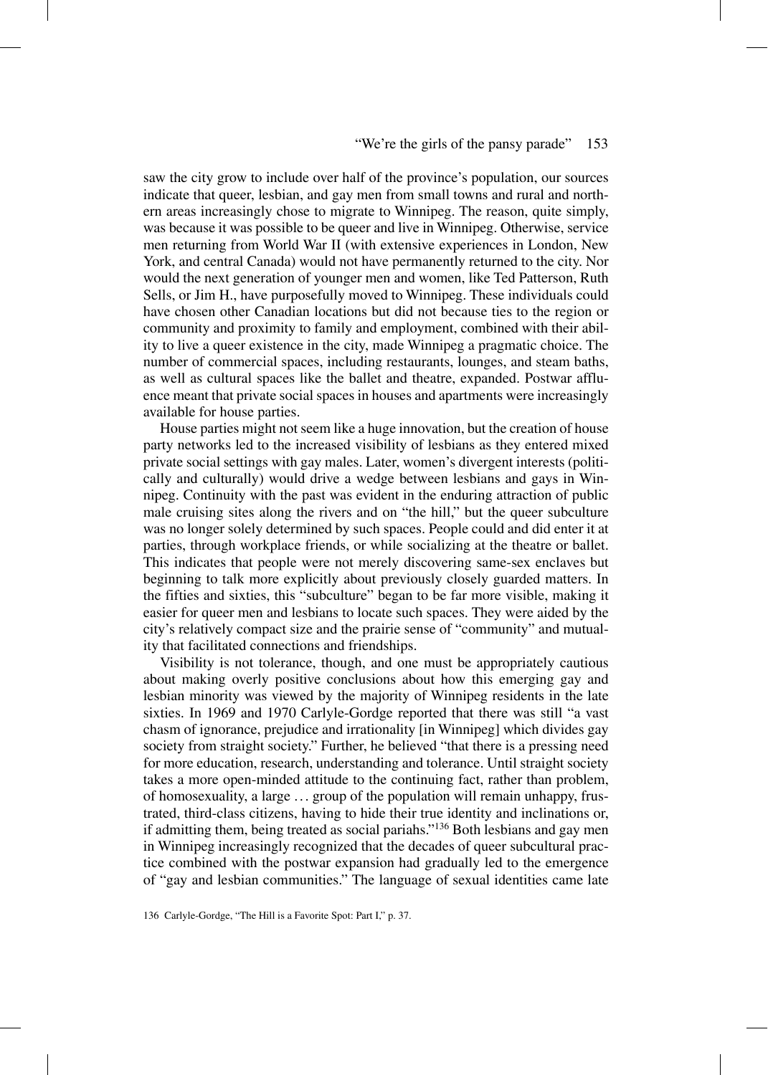saw the city grow to include over half of the province's population, our sources indicate that queer, lesbian, and gay men from small towns and rural and northern areas increasingly chose to migrate to Winnipeg. The reason, quite simply, was because it was possible to be queer and live in Winnipeg. Otherwise, service men returning from World War II (with extensive experiences in London, New York, and central Canada) would not have permanently returned to the city. Nor would the next generation of younger men and women, like Ted Patterson, Ruth Sells, or Jim H., have purposefully moved to Winnipeg. These individuals could have chosen other Canadian locations but did not because ties to the region or community and proximity to family and employment, combined with their ability to live a queer existence in the city, made Winnipeg a pragmatic choice. The number of commercial spaces, including restaurants, lounges, and steam baths, as well as cultural spaces like the ballet and theatre, expanded. Postwar affluence meant that private social spaces in houses and apartments were increasingly available for house parties.

House parties might not seem like a huge innovation, but the creation of house party networks led to the increased visibility of lesbians as they entered mixed private social settings with gay males. Later, women's divergent interests (politically and culturally) would drive a wedge between lesbians and gays in Winnipeg. Continuity with the past was evident in the enduring attraction of public male cruising sites along the rivers and on "the hill," but the queer subculture was no longer solely determined by such spaces. People could and did enter it at parties, through workplace friends, or while socializing at the theatre or ballet. This indicates that people were not merely discovering same-sex enclaves but beginning to talk more explicitly about previously closely guarded matters. In the fifties and sixties, this "subculture" began to be far more visible, making it easier for queer men and lesbians to locate such spaces. They were aided by the city's relatively compact size and the prairie sense of "community" and mutuality that facilitated connections and friendships.

Visibility is not tolerance, though, and one must be appropriately cautious about making overly positive conclusions about how this emerging gay and lesbian minority was viewed by the majority of Winnipeg residents in the late sixties. In 1969 and 1970 Carlyle-Gordge reported that there was still "a vast chasm of ignorance, prejudice and irrationality [in Winnipeg] which divides gay society from straight society." Further, he believed "that there is a pressing need for more education, research, understanding and tolerance. Until straight society takes a more open-minded attitude to the continuing fact, rather than problem, of homosexuality, a large . . . group of the population will remain unhappy, frustrated, third-class citizens, having to hide their true identity and inclinations or, if admitting them, being treated as social pariahs."136 Both lesbians and gay men in Winnipeg increasingly recognized that the decades of queer subcultural practice combined with the postwar expansion had gradually led to the emergence of "gay and lesbian communities." The language of sexual identities came late

<sup>136</sup> Carlyle-Gordge, "The Hill is a Favorite Spot: Part I," p. 37.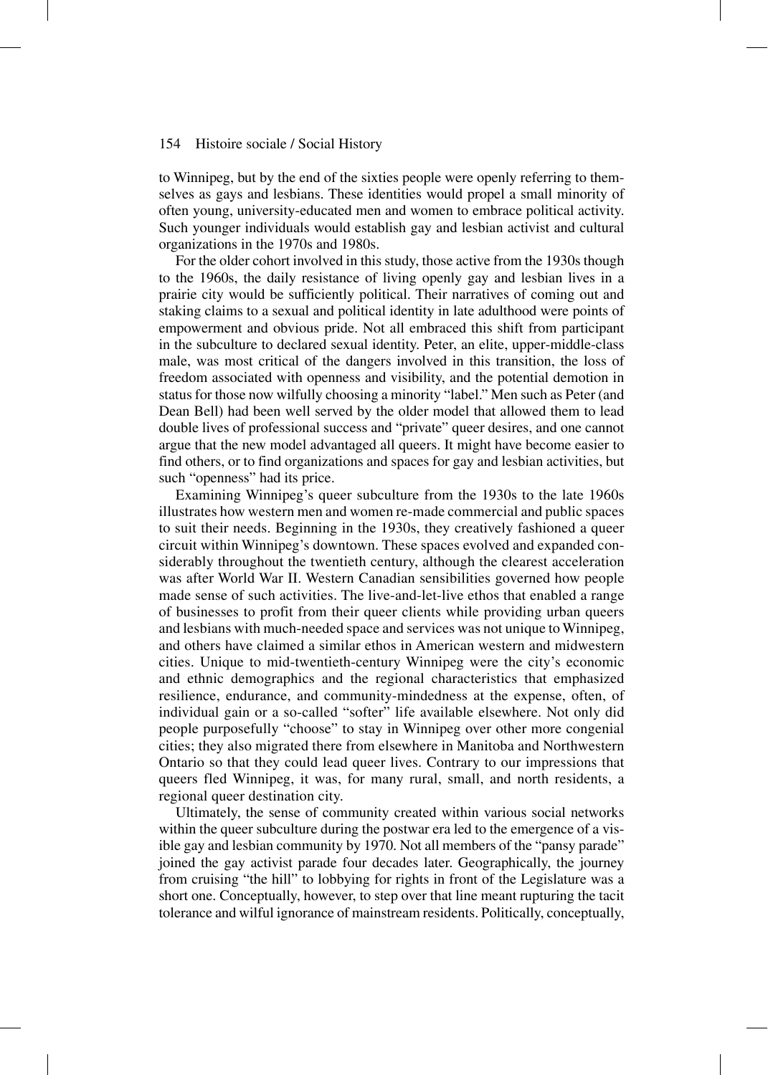to Winnipeg, but by the end of the sixties people were openly referring to themselves as gays and lesbians. These identities would propel a small minority of often young, university-educated men and women to embrace political activity. Such younger individuals would establish gay and lesbian activist and cultural organizations in the 1970s and 1980s.

For the older cohort involved in this study, those active from the 1930s though to the 1960s, the daily resistance of living openly gay and lesbian lives in a prairie city would be sufficiently political. Their narratives of coming out and staking claims to a sexual and political identity in late adulthood were points of empowerment and obvious pride. Not all embraced this shift from participant in the subculture to declared sexual identity. Peter, an elite, upper-middle-class male, was most critical of the dangers involved in this transition, the loss of freedom associated with openness and visibility, and the potential demotion in status for those now wilfully choosing a minority "label." Men such as Peter (and Dean Bell) had been well served by the older model that allowed them to lead double lives of professional success and "private" queer desires, and one cannot argue that the new model advantaged all queers. It might have become easier to find others, or to find organizations and spaces for gay and lesbian activities, but such "openness" had its price.

Examining Winnipeg's queer subculture from the 1930s to the late 1960s illustrates how western men and women re-made commercial and public spaces to suit their needs. Beginning in the 1930s, they creatively fashioned a queer circuit within Winnipeg's downtown. These spaces evolved and expanded considerably throughout the twentieth century, although the clearest acceleration was after World War II. Western Canadian sensibilities governed how people made sense of such activities. The live-and-let-live ethos that enabled a range of businesses to profit from their queer clients while providing urban queers and lesbians with much-needed space and services was not unique to Winnipeg, and others have claimed a similar ethos in American western and midwestern cities. Unique to mid-twentieth-century Winnipeg were the city's economic and ethnic demographics and the regional characteristics that emphasized resilience, endurance, and community-mindedness at the expense, often, of individual gain or a so-called "softer" life available elsewhere. Not only did people purposefully "choose" to stay in Winnipeg over other more congenial cities; they also migrated there from elsewhere in Manitoba and Northwestern Ontario so that they could lead queer lives. Contrary to our impressions that queers fled Winnipeg, it was, for many rural, small, and north residents, a regional queer destination city.

Ultimately, the sense of community created within various social networks within the queer subculture during the postwar era led to the emergence of a visible gay and lesbian community by 1970. Not all members of the "pansy parade" joined the gay activist parade four decades later. Geographically, the journey from cruising "the hill" to lobbying for rights in front of the Legislature was a short one. Conceptually, however, to step over that line meant rupturing the tacit tolerance and wilful ignorance of mainstream residents. Politically, conceptually,